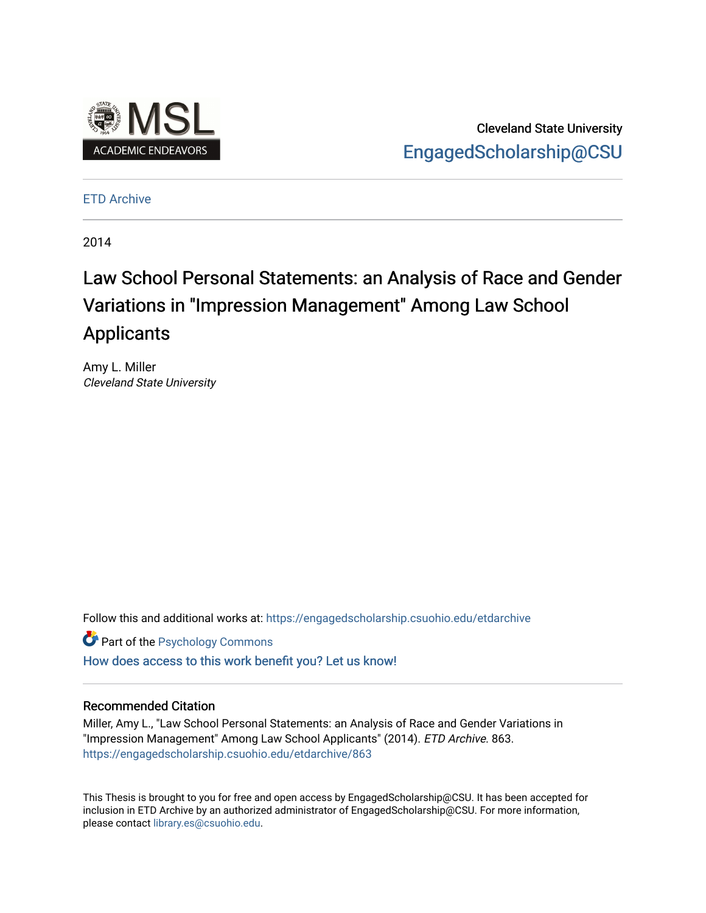

Cleveland State University [EngagedScholarship@CSU](https://engagedscholarship.csuohio.edu/) 

[ETD Archive](https://engagedscholarship.csuohio.edu/etdarchive)

2014

# Law School Personal Statements: an Analysis of Race and Gender Variations in "Impression Management" Among Law School **Applicants**

Amy L. Miller Cleveland State University

Follow this and additional works at: [https://engagedscholarship.csuohio.edu/etdarchive](https://engagedscholarship.csuohio.edu/etdarchive?utm_source=engagedscholarship.csuohio.edu%2Fetdarchive%2F863&utm_medium=PDF&utm_campaign=PDFCoverPages)

**Part of the Psychology Commons** 

[How does access to this work benefit you? Let us know!](http://library.csuohio.edu/engaged/)

## Recommended Citation

Miller, Amy L., "Law School Personal Statements: an Analysis of Race and Gender Variations in "Impression Management" Among Law School Applicants" (2014). ETD Archive. 863. [https://engagedscholarship.csuohio.edu/etdarchive/863](https://engagedscholarship.csuohio.edu/etdarchive/863?utm_source=engagedscholarship.csuohio.edu%2Fetdarchive%2F863&utm_medium=PDF&utm_campaign=PDFCoverPages) 

This Thesis is brought to you for free and open access by EngagedScholarship@CSU. It has been accepted for inclusion in ETD Archive by an authorized administrator of EngagedScholarship@CSU. For more information, please contact [library.es@csuohio.edu.](mailto:library.es@csuohio.edu)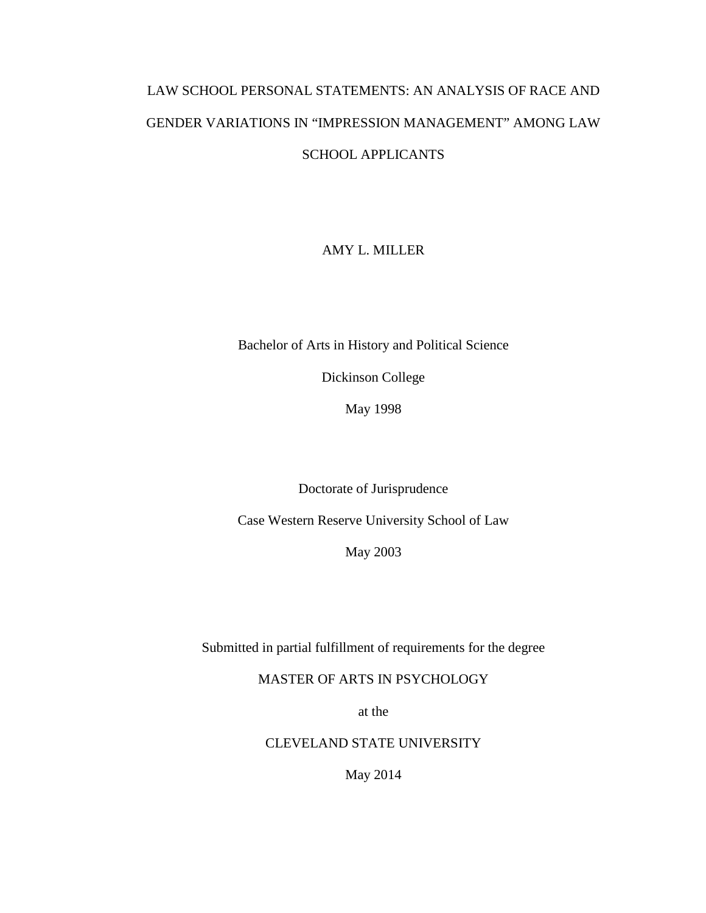# LAW SCHOOL PERSONAL STATEMENTS: AN ANALYSIS OF RACE AND GENDER VARIATIONS IN "IMPRESSION MANAGEMENT" AMONG LAW SCHOOL APPLICANTS

# AMY L. MILLER

Bachelor of Arts in History and Political Science

Dickinson College

May 1998

Doctorate of Jurisprudence

Case Western Reserve University School of Law

May 2003

Submitted in partial fulfillment of requirements for the degree

MASTER OF ARTS IN PSYCHOLOGY

at the

CLEVELAND STATE UNIVERSITY

May 2014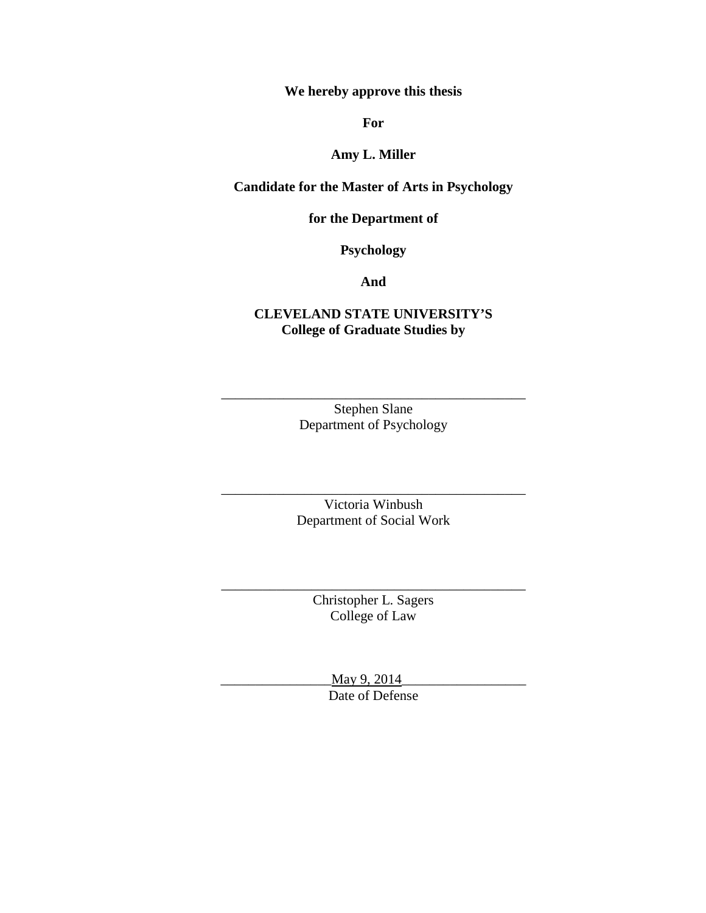**We hereby approve this thesis**

**For**

# **Amy L. Miller**

# **Candidate for the Master of Arts in Psychology**

# **for the Department of**

**Psychology**

**And** 

# **CLEVELAND STATE UNIVERSITY'S College of Graduate Studies by**

Stephen Slane Department of Psychology

\_\_\_\_\_\_\_\_\_\_\_\_\_\_\_\_\_\_\_\_\_\_\_\_\_\_\_\_\_\_\_\_\_\_\_\_\_\_\_\_\_\_\_\_

Victoria Winbush Department of Social Work

\_\_\_\_\_\_\_\_\_\_\_\_\_\_\_\_\_\_\_\_\_\_\_\_\_\_\_\_\_\_\_\_\_\_\_\_\_\_\_\_\_\_\_\_

Christopher L. Sagers College of Law

\_\_\_\_\_\_\_\_\_\_\_\_\_\_\_\_\_\_\_\_\_\_\_\_\_\_\_\_\_\_\_\_\_\_\_\_\_\_\_\_\_\_\_\_

May 9, 2014 Date of Defense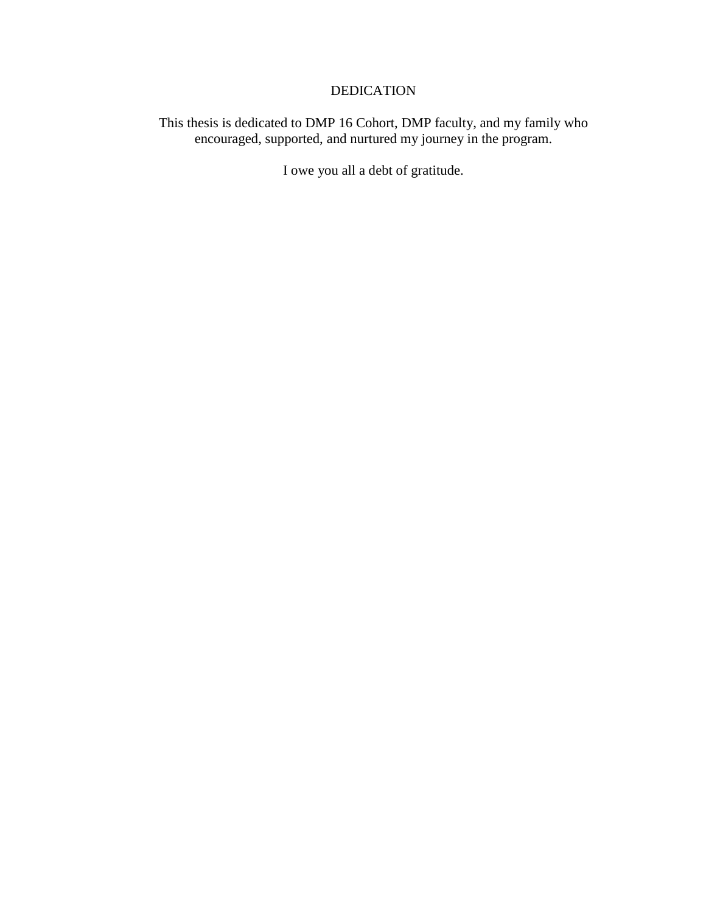# DEDICATION

This thesis is dedicated to DMP 16 Cohort, DMP faculty, and my family who encouraged, supported, and nurtured my journey in the program.

I owe you all a debt of gratitude.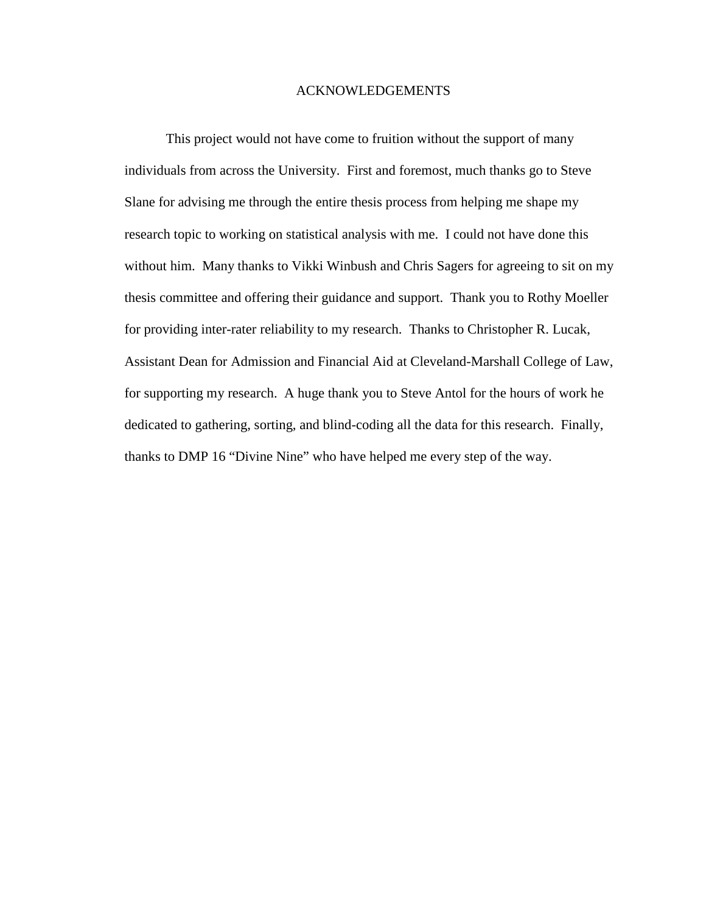## ACKNOWLEDGEMENTS

This project would not have come to fruition without the support of many individuals from across the University. First and foremost, much thanks go to Steve Slane for advising me through the entire thesis process from helping me shape my research topic to working on statistical analysis with me. I could not have done this without him. Many thanks to Vikki Winbush and Chris Sagers for agreeing to sit on my thesis committee and offering their guidance and support. Thank you to Rothy Moeller for providing inter-rater reliability to my research. Thanks to Christopher R. Lucak, Assistant Dean for Admission and Financial Aid at Cleveland-Marshall College of Law, for supporting my research. A huge thank you to Steve Antol for the hours of work he dedicated to gathering, sorting, and blind-coding all the data for this research. Finally, thanks to DMP 16 "Divine Nine" who have helped me every step of the way.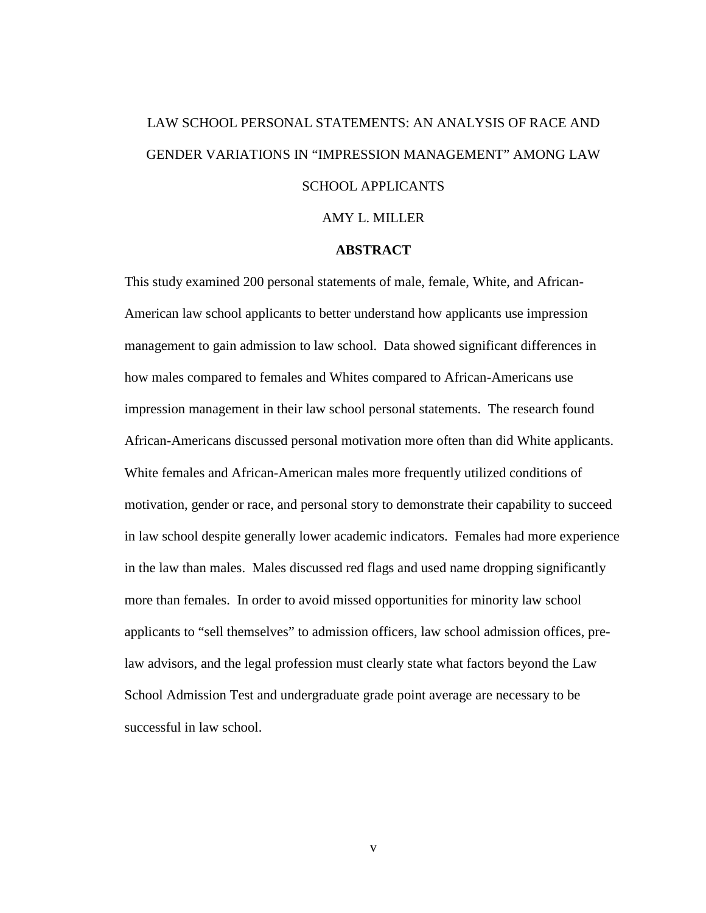# LAW SCHOOL PERSONAL STATEMENTS: AN ANALYSIS OF RACE AND GENDER VARIATIONS IN "IMPRESSION MANAGEMENT" AMONG LAW SCHOOL APPLICANTS

#### AMY L. MILLER

## **ABSTRACT**

This study examined 200 personal statements of male, female, White, and African-American law school applicants to better understand how applicants use impression management to gain admission to law school. Data showed significant differences in how males compared to females and Whites compared to African-Americans use impression management in their law school personal statements. The research found African-Americans discussed personal motivation more often than did White applicants. White females and African-American males more frequently utilized conditions of motivation, gender or race, and personal story to demonstrate their capability to succeed in law school despite generally lower academic indicators. Females had more experience in the law than males. Males discussed red flags and used name dropping significantly more than females. In order to avoid missed opportunities for minority law school applicants to "sell themselves" to admission officers, law school admission offices, prelaw advisors, and the legal profession must clearly state what factors beyond the Law School Admission Test and undergraduate grade point average are necessary to be successful in law school.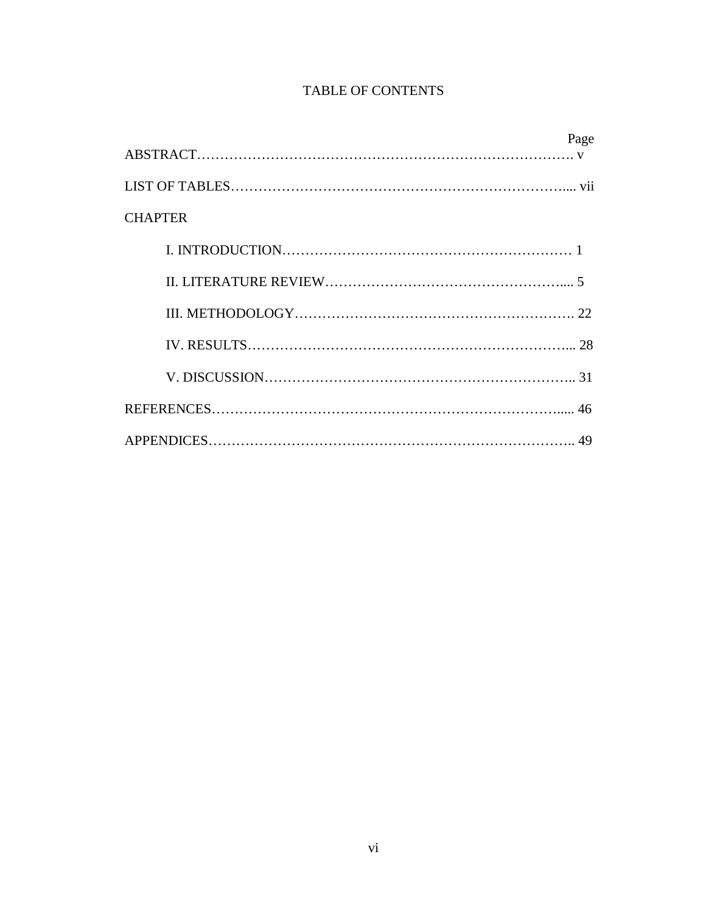# TABLE OF CONTENTS

|                | Page |
|----------------|------|
|                |      |
|                |      |
| <b>CHAPTER</b> |      |
|                |      |
|                |      |
|                |      |
|                |      |
|                |      |
|                |      |
|                |      |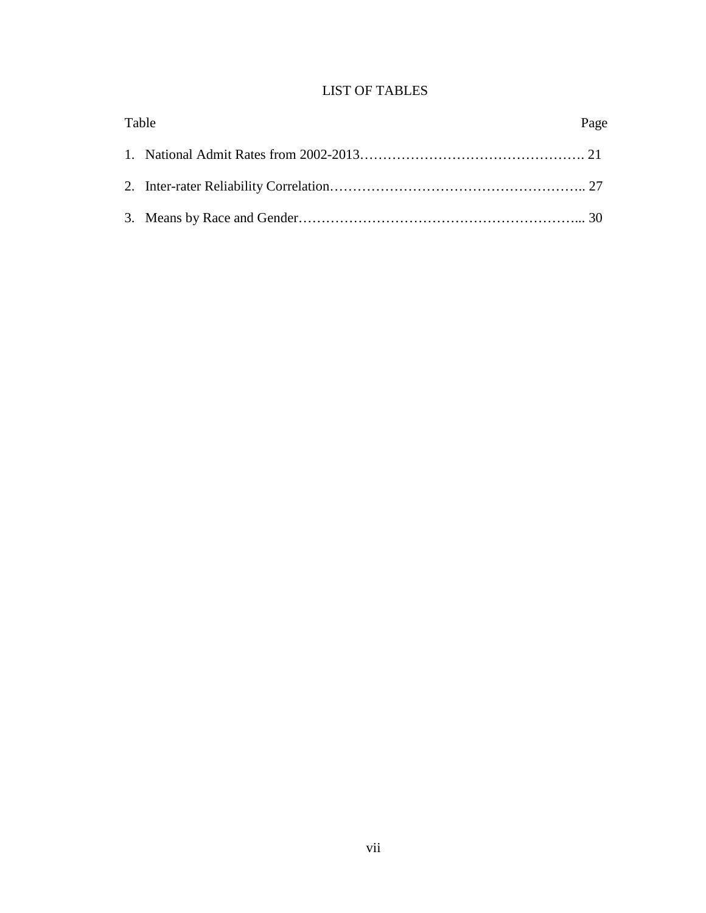# LIST OF TABLES

| Table | Page |
|-------|------|
|       |      |
|       |      |
|       |      |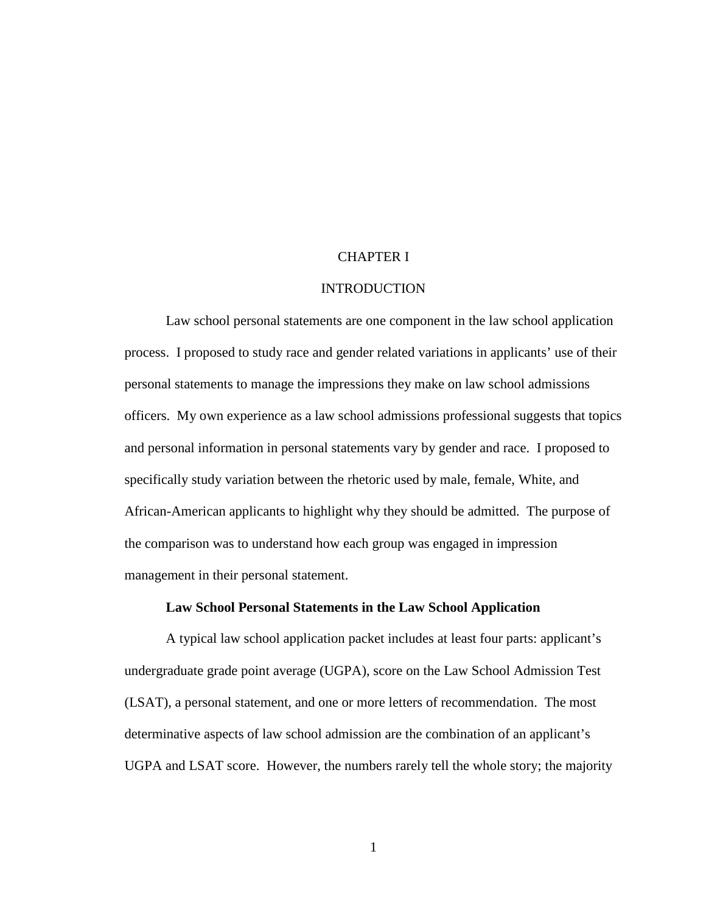## CHAPTER I

### INTRODUCTION

Law school personal statements are one component in the law school application process. I proposed to study race and gender related variations in applicants' use of their personal statements to manage the impressions they make on law school admissions officers. My own experience as a law school admissions professional suggests that topics and personal information in personal statements vary by gender and race. I proposed to specifically study variation between the rhetoric used by male, female, White, and African-American applicants to highlight why they should be admitted. The purpose of the comparison was to understand how each group was engaged in impression management in their personal statement.

## **Law School Personal Statements in the Law School Application**

A typical law school application packet includes at least four parts: applicant's undergraduate grade point average (UGPA), score on the Law School Admission Test (LSAT), a personal statement, and one or more letters of recommendation. The most determinative aspects of law school admission are the combination of an applicant's UGPA and LSAT score. However, the numbers rarely tell the whole story; the majority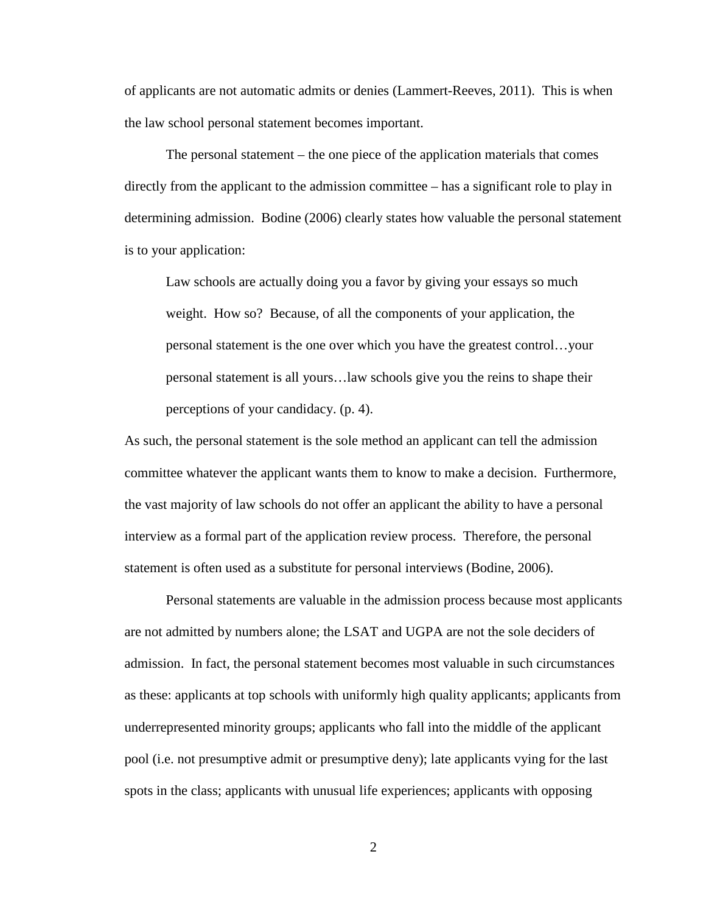of applicants are not automatic admits or denies (Lammert-Reeves, 2011). This is when the law school personal statement becomes important.

The personal statement – the one piece of the application materials that comes directly from the applicant to the admission committee – has a significant role to play in determining admission. Bodine (2006) clearly states how valuable the personal statement is to your application:

Law schools are actually doing you a favor by giving your essays so much weight. How so? Because, of all the components of your application, the personal statement is the one over which you have the greatest control…your personal statement is all yours…law schools give you the reins to shape their perceptions of your candidacy. (p. 4).

As such, the personal statement is the sole method an applicant can tell the admission committee whatever the applicant wants them to know to make a decision. Furthermore, the vast majority of law schools do not offer an applicant the ability to have a personal interview as a formal part of the application review process. Therefore, the personal statement is often used as a substitute for personal interviews (Bodine, 2006).

Personal statements are valuable in the admission process because most applicants are not admitted by numbers alone; the LSAT and UGPA are not the sole deciders of admission. In fact, the personal statement becomes most valuable in such circumstances as these: applicants at top schools with uniformly high quality applicants; applicants from underrepresented minority groups; applicants who fall into the middle of the applicant pool (i.e. not presumptive admit or presumptive deny); late applicants vying for the last spots in the class; applicants with unusual life experiences; applicants with opposing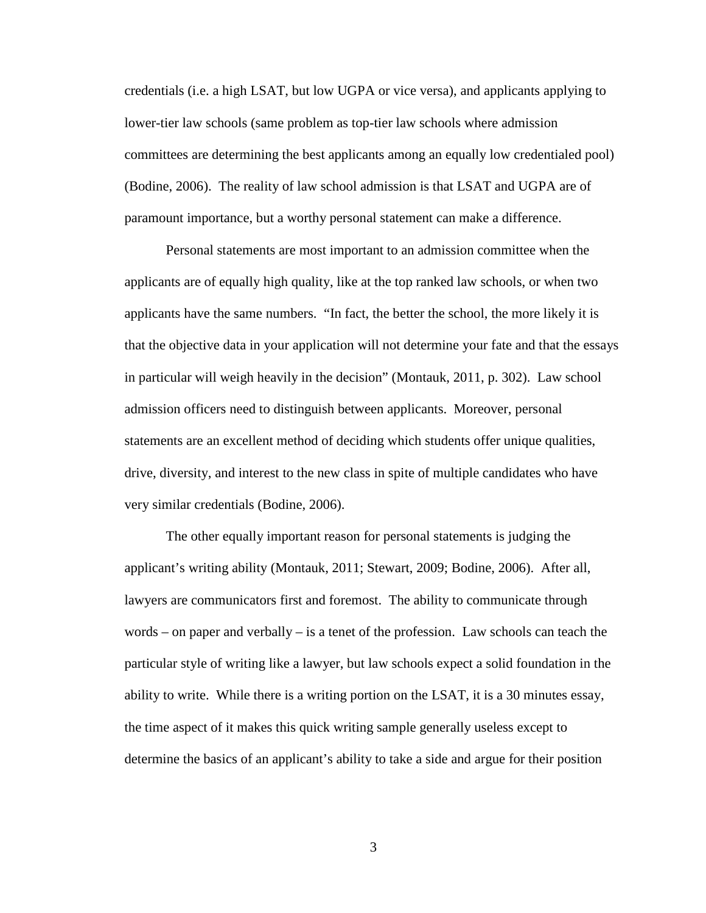credentials (i.e. a high LSAT, but low UGPA or vice versa), and applicants applying to lower-tier law schools (same problem as top-tier law schools where admission committees are determining the best applicants among an equally low credentialed pool) (Bodine, 2006). The reality of law school admission is that LSAT and UGPA are of paramount importance, but a worthy personal statement can make a difference.

Personal statements are most important to an admission committee when the applicants are of equally high quality, like at the top ranked law schools, or when two applicants have the same numbers. "In fact, the better the school, the more likely it is that the objective data in your application will not determine your fate and that the essays in particular will weigh heavily in the decision" (Montauk, 2011, p. 302). Law school admission officers need to distinguish between applicants. Moreover, personal statements are an excellent method of deciding which students offer unique qualities, drive, diversity, and interest to the new class in spite of multiple candidates who have very similar credentials (Bodine, 2006).

The other equally important reason for personal statements is judging the applicant's writing ability (Montauk, 2011; Stewart, 2009; Bodine, 2006). After all, lawyers are communicators first and foremost. The ability to communicate through words – on paper and verbally – is a tenet of the profession. Law schools can teach the particular style of writing like a lawyer, but law schools expect a solid foundation in the ability to write. While there is a writing portion on the LSAT, it is a 30 minutes essay, the time aspect of it makes this quick writing sample generally useless except to determine the basics of an applicant's ability to take a side and argue for their position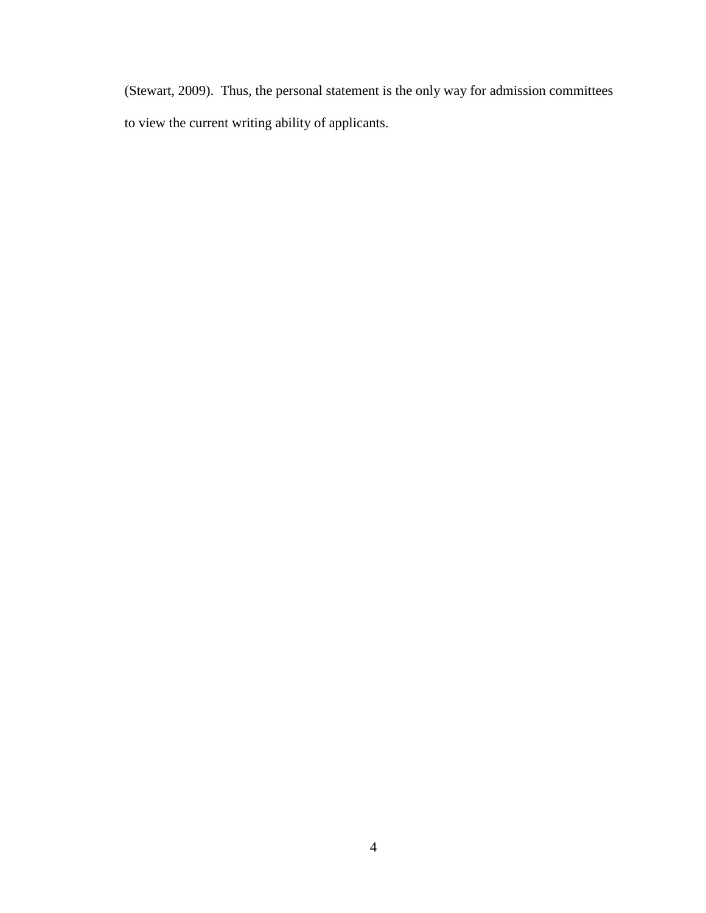(Stewart, 2009). Thus, the personal statement is the only way for admission committees to view the current writing ability of applicants.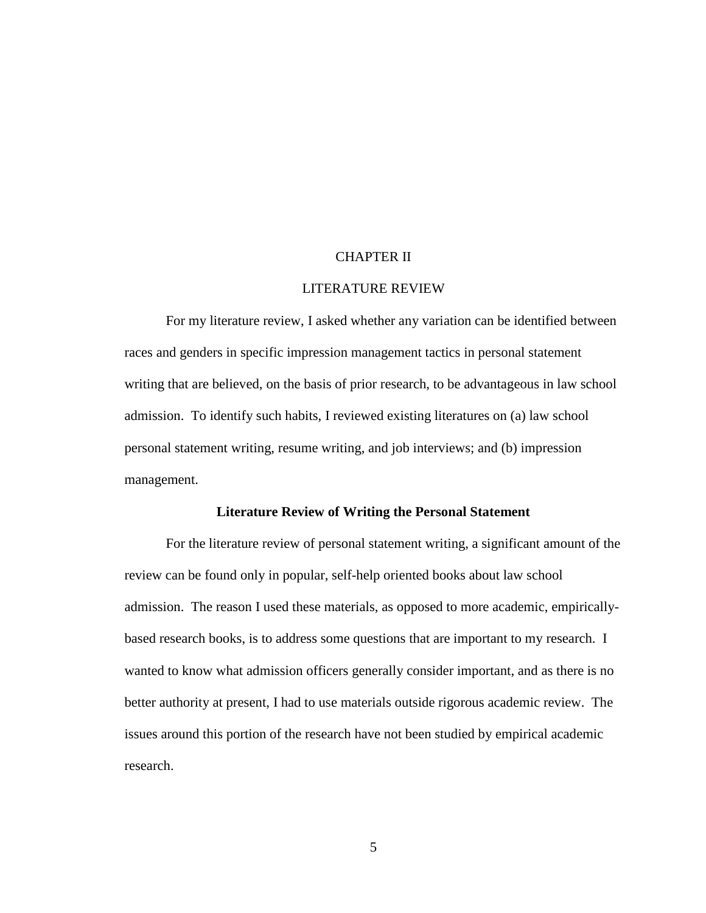## CHAPTER II

## LITERATURE REVIEW

For my literature review, I asked whether any variation can be identified between races and genders in specific impression management tactics in personal statement writing that are believed, on the basis of prior research, to be advantageous in law school admission. To identify such habits, I reviewed existing literatures on (a) law school personal statement writing, resume writing, and job interviews; and (b) impression management.

#### **Literature Review of Writing the Personal Statement**

For the literature review of personal statement writing, a significant amount of the review can be found only in popular, self-help oriented books about law school admission. The reason I used these materials, as opposed to more academic, empiricallybased research books, is to address some questions that are important to my research. I wanted to know what admission officers generally consider important, and as there is no better authority at present, I had to use materials outside rigorous academic review. The issues around this portion of the research have not been studied by empirical academic research.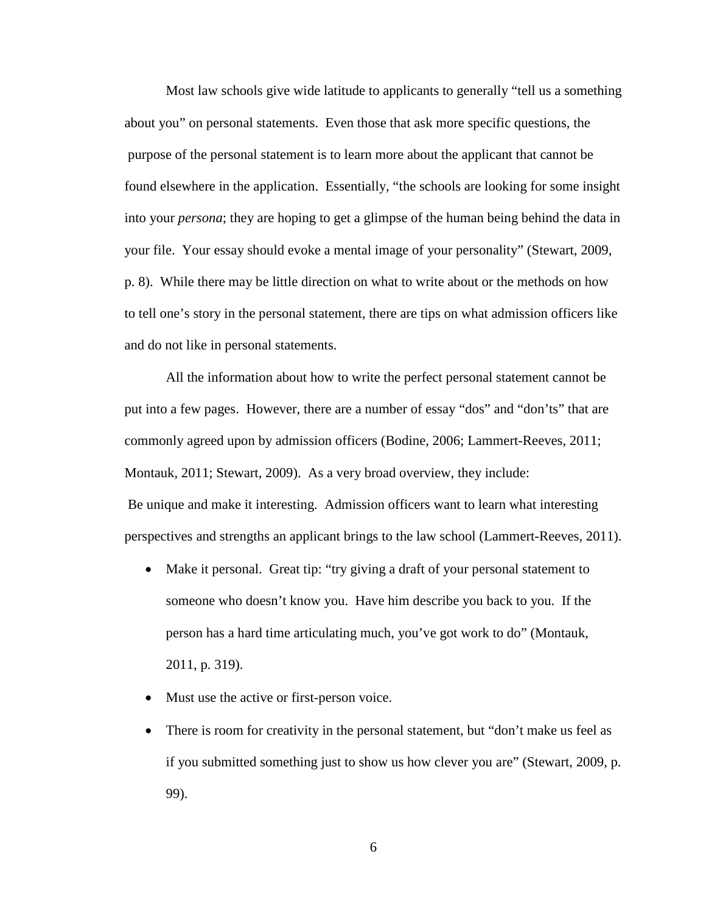Most law schools give wide latitude to applicants to generally "tell us a something about you" on personal statements. Even those that ask more specific questions, the purpose of the personal statement is to learn more about the applicant that cannot be found elsewhere in the application. Essentially, "the schools are looking for some insight into your *persona*; they are hoping to get a glimpse of the human being behind the data in your file. Your essay should evoke a mental image of your personality" (Stewart, 2009, p. 8). While there may be little direction on what to write about or the methods on how to tell one's story in the personal statement, there are tips on what admission officers like and do not like in personal statements.

All the information about how to write the perfect personal statement cannot be put into a few pages. However, there are a number of essay "dos" and "don'ts" that are commonly agreed upon by admission officers (Bodine, 2006; Lammert-Reeves, 2011; Montauk, 2011; Stewart, 2009). As a very broad overview, they include: Be unique and make it interesting. Admission officers want to learn what interesting perspectives and strengths an applicant brings to the law school (Lammert-Reeves, 2011).

- Make it personal. Great tip: "try giving a draft of your personal statement to someone who doesn't know you. Have him describe you back to you. If the person has a hard time articulating much, you've got work to do" (Montauk, 2011, p. 319).
- Must use the active or first-person voice.
- There is room for creativity in the personal statement, but "don't make us feel as if you submitted something just to show us how clever you are" (Stewart, 2009, p. 99).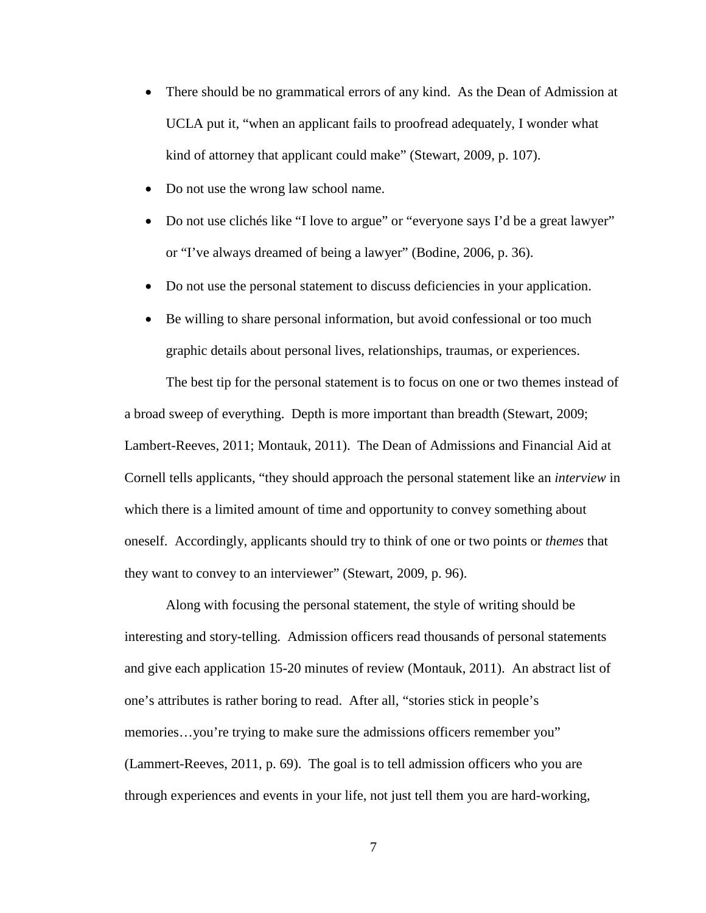- There should be no grammatical errors of any kind. As the Dean of Admission at UCLA put it, "when an applicant fails to proofread adequately, I wonder what kind of attorney that applicant could make" (Stewart, 2009, p. 107).
- Do not use the wrong law school name.
- Do not use clichés like "I love to argue" or "everyone says I'd be a great lawyer" or "I've always dreamed of being a lawyer" (Bodine, 2006, p. 36).
- Do not use the personal statement to discuss deficiencies in your application.
- Be willing to share personal information, but avoid confessional or too much graphic details about personal lives, relationships, traumas, or experiences.

The best tip for the personal statement is to focus on one or two themes instead of a broad sweep of everything. Depth is more important than breadth (Stewart, 2009; Lambert-Reeves, 2011; Montauk, 2011). The Dean of Admissions and Financial Aid at Cornell tells applicants, "they should approach the personal statement like an *interview* in which there is a limited amount of time and opportunity to convey something about oneself. Accordingly, applicants should try to think of one or two points or *themes* that they want to convey to an interviewer" (Stewart, 2009, p. 96).

Along with focusing the personal statement, the style of writing should be interesting and story-telling. Admission officers read thousands of personal statements and give each application 15-20 minutes of review (Montauk, 2011). An abstract list of one's attributes is rather boring to read. After all, "stories stick in people's memories...you're trying to make sure the admissions officers remember you" (Lammert-Reeves, 2011, p. 69). The goal is to tell admission officers who you are through experiences and events in your life, not just tell them you are hard-working,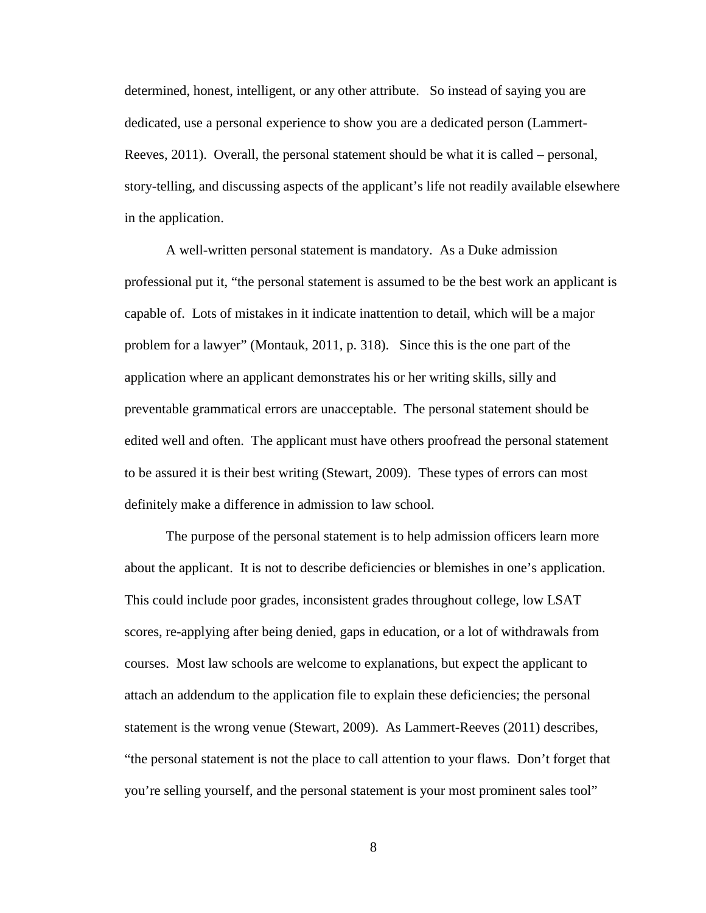determined, honest, intelligent, or any other attribute. So instead of saying you are dedicated, use a personal experience to show you are a dedicated person (Lammert-Reeves, 2011). Overall, the personal statement should be what it is called – personal, story-telling, and discussing aspects of the applicant's life not readily available elsewhere in the application.

A well-written personal statement is mandatory. As a Duke admission professional put it, "the personal statement is assumed to be the best work an applicant is capable of. Lots of mistakes in it indicate inattention to detail, which will be a major problem for a lawyer" (Montauk, 2011, p. 318). Since this is the one part of the application where an applicant demonstrates his or her writing skills, silly and preventable grammatical errors are unacceptable. The personal statement should be edited well and often. The applicant must have others proofread the personal statement to be assured it is their best writing (Stewart, 2009). These types of errors can most definitely make a difference in admission to law school.

The purpose of the personal statement is to help admission officers learn more about the applicant. It is not to describe deficiencies or blemishes in one's application. This could include poor grades, inconsistent grades throughout college, low LSAT scores, re-applying after being denied, gaps in education, or a lot of withdrawals from courses. Most law schools are welcome to explanations, but expect the applicant to attach an addendum to the application file to explain these deficiencies; the personal statement is the wrong venue (Stewart, 2009). As Lammert-Reeves (2011) describes, "the personal statement is not the place to call attention to your flaws. Don't forget that you're selling yourself, and the personal statement is your most prominent sales tool"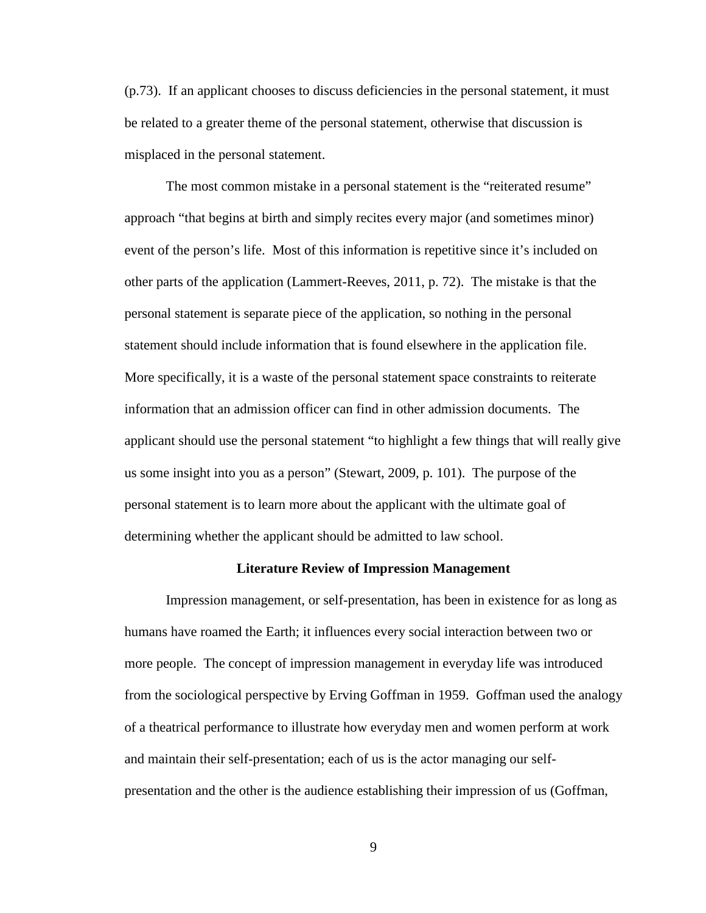(p.73). If an applicant chooses to discuss deficiencies in the personal statement, it must be related to a greater theme of the personal statement, otherwise that discussion is misplaced in the personal statement.

The most common mistake in a personal statement is the "reiterated resume" approach "that begins at birth and simply recites every major (and sometimes minor) event of the person's life. Most of this information is repetitive since it's included on other parts of the application (Lammert-Reeves, 2011, p. 72). The mistake is that the personal statement is separate piece of the application, so nothing in the personal statement should include information that is found elsewhere in the application file. More specifically, it is a waste of the personal statement space constraints to reiterate information that an admission officer can find in other admission documents. The applicant should use the personal statement "to highlight a few things that will really give us some insight into you as a person" (Stewart, 2009, p. 101). The purpose of the personal statement is to learn more about the applicant with the ultimate goal of determining whether the applicant should be admitted to law school.

#### **Literature Review of Impression Management**

Impression management, or self-presentation, has been in existence for as long as humans have roamed the Earth; it influences every social interaction between two or more people. The concept of impression management in everyday life was introduced from the sociological perspective by Erving Goffman in 1959. Goffman used the analogy of a theatrical performance to illustrate how everyday men and women perform at work and maintain their self-presentation; each of us is the actor managing our selfpresentation and the other is the audience establishing their impression of us (Goffman,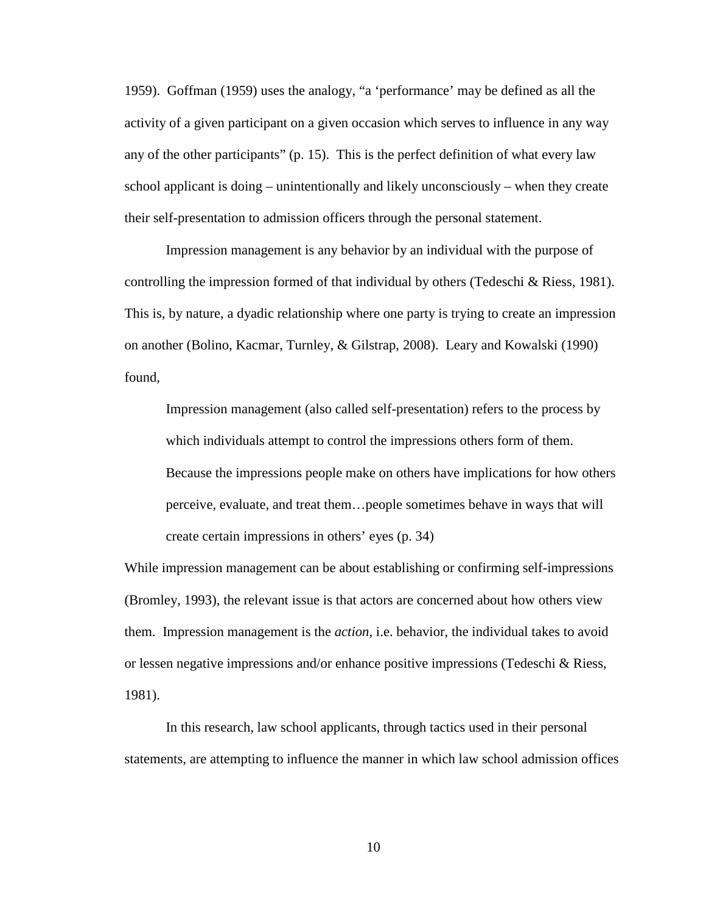1959). Goffman (1959) uses the analogy, "a 'performance' may be defined as all the activity of a given participant on a given occasion which serves to influence in any way any of the other participants" (p. 15). This is the perfect definition of what every law school applicant is doing – unintentionally and likely unconsciously – when they create their self-presentation to admission officers through the personal statement.

Impression management is any behavior by an individual with the purpose of controlling the impression formed of that individual by others (Tedeschi & Riess, 1981). This is, by nature, a dyadic relationship where one party is trying to create an impression on another (Bolino, Kacmar, Turnley, & Gilstrap, 2008). Leary and Kowalski (1990) found,

Impression management (also called self-presentation) refers to the process by which individuals attempt to control the impressions others form of them. Because the impressions people make on others have implications for how others perceive, evaluate, and treat them…people sometimes behave in ways that will create certain impressions in others' eyes (p. 34)

While impression management can be about establishing or confirming self-impressions (Bromley, 1993), the relevant issue is that actors are concerned about how others view them. Impression management is the *action*, i.e. behavior, the individual takes to avoid or lessen negative impressions and/or enhance positive impressions (Tedeschi & Riess, 1981).

In this research, law school applicants, through tactics used in their personal statements, are attempting to influence the manner in which law school admission offices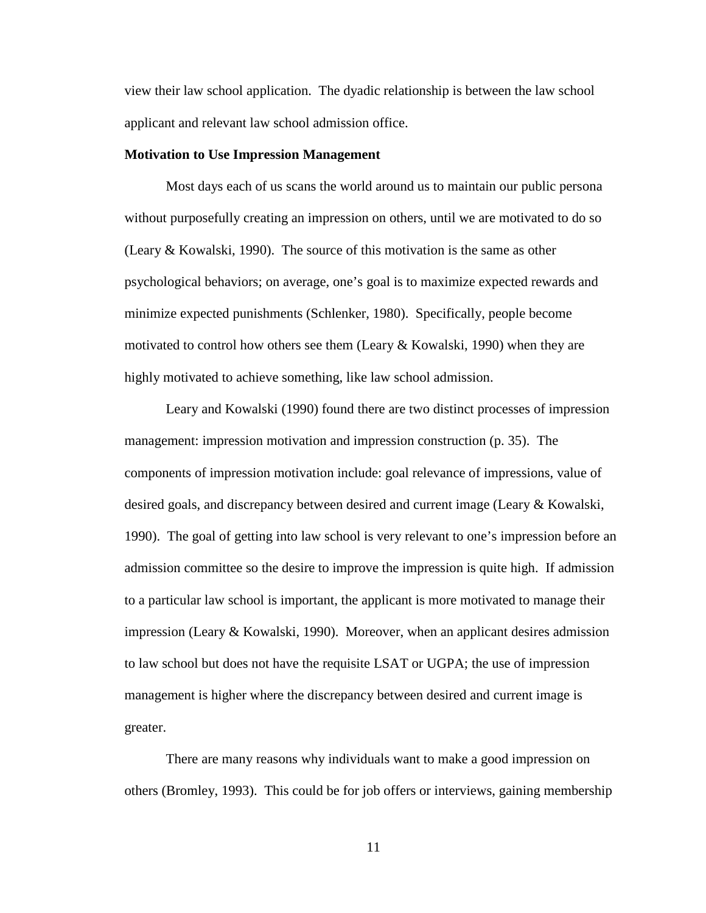view their law school application. The dyadic relationship is between the law school applicant and relevant law school admission office.

#### **Motivation to Use Impression Management**

Most days each of us scans the world around us to maintain our public persona without purposefully creating an impression on others, until we are motivated to do so (Leary & Kowalski, 1990). The source of this motivation is the same as other psychological behaviors; on average, one's goal is to maximize expected rewards and minimize expected punishments (Schlenker, 1980). Specifically, people become motivated to control how others see them (Leary & Kowalski, 1990) when they are highly motivated to achieve something, like law school admission.

Leary and Kowalski (1990) found there are two distinct processes of impression management: impression motivation and impression construction (p. 35). The components of impression motivation include: goal relevance of impressions, value of desired goals, and discrepancy between desired and current image (Leary & Kowalski, 1990). The goal of getting into law school is very relevant to one's impression before an admission committee so the desire to improve the impression is quite high. If admission to a particular law school is important, the applicant is more motivated to manage their impression (Leary & Kowalski, 1990). Moreover, when an applicant desires admission to law school but does not have the requisite LSAT or UGPA; the use of impression management is higher where the discrepancy between desired and current image is greater.

There are many reasons why individuals want to make a good impression on others (Bromley, 1993). This could be for job offers or interviews, gaining membership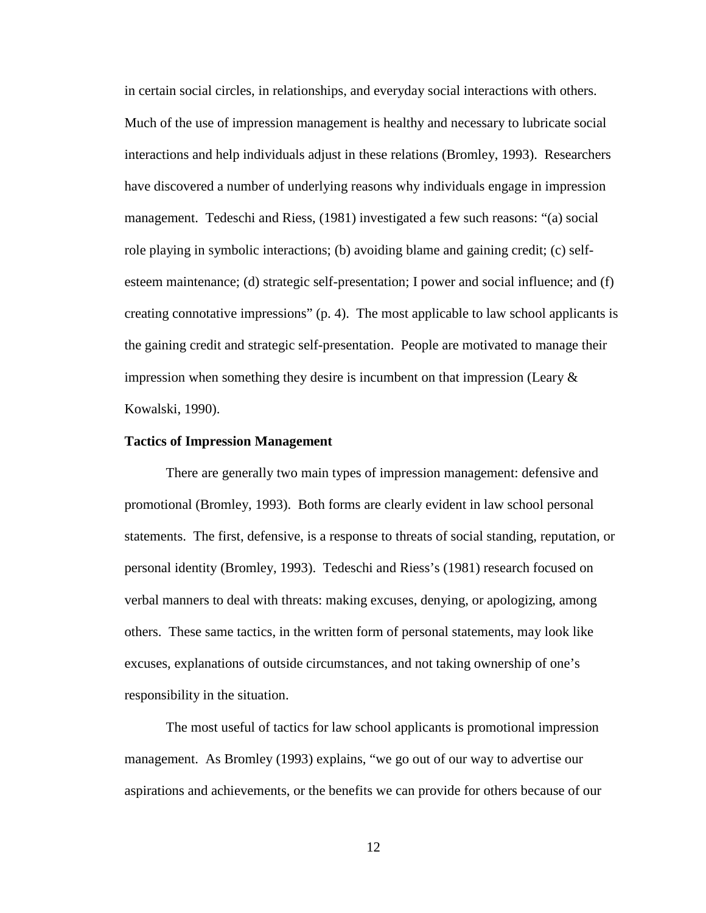in certain social circles, in relationships, and everyday social interactions with others. Much of the use of impression management is healthy and necessary to lubricate social interactions and help individuals adjust in these relations (Bromley, 1993). Researchers have discovered a number of underlying reasons why individuals engage in impression management. Tedeschi and Riess, (1981) investigated a few such reasons: "(a) social role playing in symbolic interactions; (b) avoiding blame and gaining credit; (c) selfesteem maintenance; (d) strategic self-presentation; I power and social influence; and (f) creating connotative impressions" (p. 4). The most applicable to law school applicants is the gaining credit and strategic self-presentation. People are motivated to manage their impression when something they desire is incumbent on that impression (Leary  $\&$ Kowalski, 1990).

#### **Tactics of Impression Management**

There are generally two main types of impression management: defensive and promotional (Bromley, 1993). Both forms are clearly evident in law school personal statements. The first, defensive, is a response to threats of social standing, reputation, or personal identity (Bromley, 1993). Tedeschi and Riess's (1981) research focused on verbal manners to deal with threats: making excuses, denying, or apologizing, among others. These same tactics, in the written form of personal statements, may look like excuses, explanations of outside circumstances, and not taking ownership of one's responsibility in the situation.

The most useful of tactics for law school applicants is promotional impression management. As Bromley (1993) explains, "we go out of our way to advertise our aspirations and achievements, or the benefits we can provide for others because of our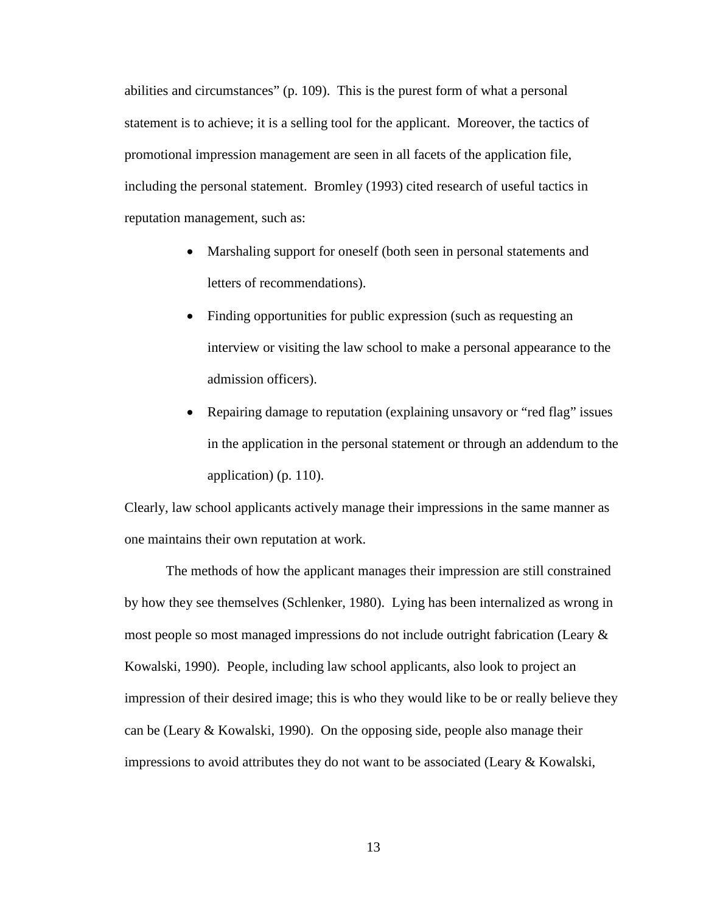abilities and circumstances" (p. 109). This is the purest form of what a personal statement is to achieve; it is a selling tool for the applicant. Moreover, the tactics of promotional impression management are seen in all facets of the application file, including the personal statement. Bromley (1993) cited research of useful tactics in reputation management, such as:

- Marshaling support for oneself (both seen in personal statements and letters of recommendations).
- Finding opportunities for public expression (such as requesting an interview or visiting the law school to make a personal appearance to the admission officers).
- Repairing damage to reputation (explaining unsavory or "red flag" issues in the application in the personal statement or through an addendum to the application) (p. 110).

Clearly, law school applicants actively manage their impressions in the same manner as one maintains their own reputation at work.

The methods of how the applicant manages their impression are still constrained by how they see themselves (Schlenker, 1980). Lying has been internalized as wrong in most people so most managed impressions do not include outright fabrication (Leary & Kowalski, 1990). People, including law school applicants, also look to project an impression of their desired image; this is who they would like to be or really believe they can be (Leary & Kowalski, 1990). On the opposing side, people also manage their impressions to avoid attributes they do not want to be associated (Leary  $&$  Kowalski,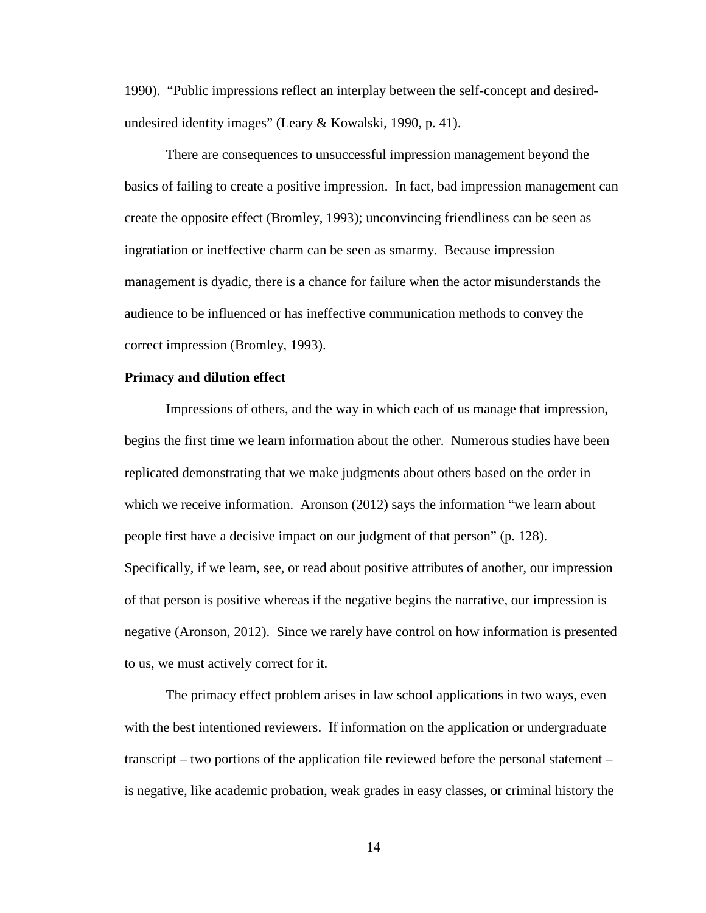1990). "Public impressions reflect an interplay between the self-concept and desiredundesired identity images" (Leary & Kowalski, 1990, p. 41).

There are consequences to unsuccessful impression management beyond the basics of failing to create a positive impression. In fact, bad impression management can create the opposite effect (Bromley, 1993); unconvincing friendliness can be seen as ingratiation or ineffective charm can be seen as smarmy. Because impression management is dyadic, there is a chance for failure when the actor misunderstands the audience to be influenced or has ineffective communication methods to convey the correct impression (Bromley, 1993).

## **Primacy and dilution effect**

Impressions of others, and the way in which each of us manage that impression, begins the first time we learn information about the other. Numerous studies have been replicated demonstrating that we make judgments about others based on the order in which we receive information. Aronson (2012) says the information "we learn about people first have a decisive impact on our judgment of that person" (p. 128). Specifically, if we learn, see, or read about positive attributes of another, our impression of that person is positive whereas if the negative begins the narrative, our impression is negative (Aronson, 2012). Since we rarely have control on how information is presented to us, we must actively correct for it.

The primacy effect problem arises in law school applications in two ways, even with the best intentioned reviewers. If information on the application or undergraduate transcript – two portions of the application file reviewed before the personal statement – is negative, like academic probation, weak grades in easy classes, or criminal history the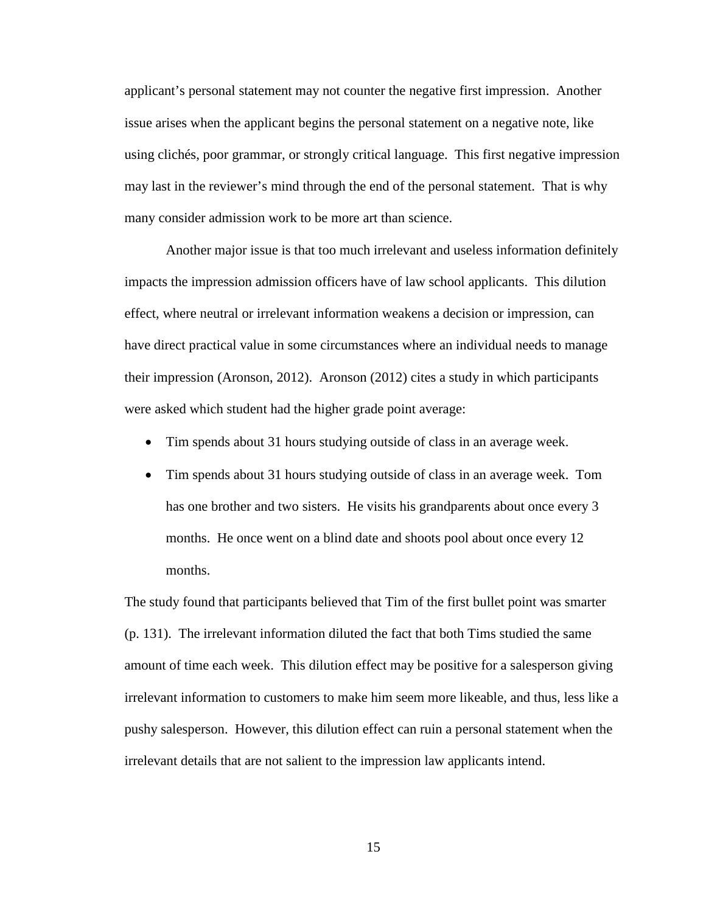applicant's personal statement may not counter the negative first impression. Another issue arises when the applicant begins the personal statement on a negative note, like using clichés, poor grammar, or strongly critical language. This first negative impression may last in the reviewer's mind through the end of the personal statement. That is why many consider admission work to be more art than science.

Another major issue is that too much irrelevant and useless information definitely impacts the impression admission officers have of law school applicants. This dilution effect, where neutral or irrelevant information weakens a decision or impression, can have direct practical value in some circumstances where an individual needs to manage their impression (Aronson, 2012). Aronson (2012) cites a study in which participants were asked which student had the higher grade point average:

- Tim spends about 31 hours studying outside of class in an average week.
- Tim spends about 31 hours studying outside of class in an average week. Tom has one brother and two sisters. He visits his grandparents about once every 3 months. He once went on a blind date and shoots pool about once every 12 months.

The study found that participants believed that Tim of the first bullet point was smarter (p. 131). The irrelevant information diluted the fact that both Tims studied the same amount of time each week. This dilution effect may be positive for a salesperson giving irrelevant information to customers to make him seem more likeable, and thus, less like a pushy salesperson. However, this dilution effect can ruin a personal statement when the irrelevant details that are not salient to the impression law applicants intend.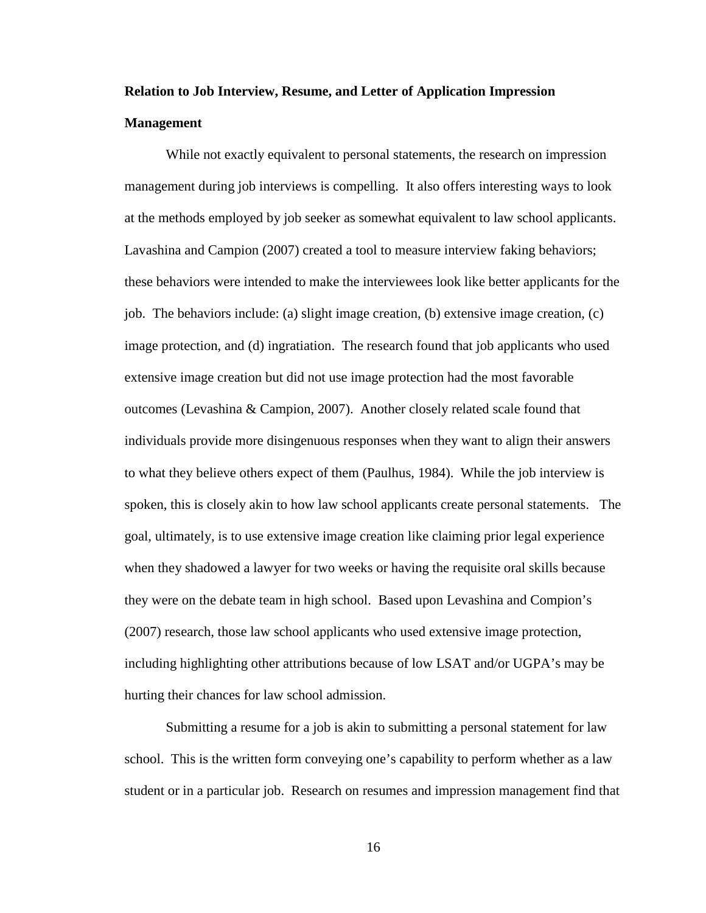# **Relation to Job Interview, Resume, and Letter of Application Impression Management**

While not exactly equivalent to personal statements, the research on impression management during job interviews is compelling. It also offers interesting ways to look at the methods employed by job seeker as somewhat equivalent to law school applicants. Lavashina and Campion (2007) created a tool to measure interview faking behaviors; these behaviors were intended to make the interviewees look like better applicants for the job. The behaviors include: (a) slight image creation, (b) extensive image creation, (c) image protection, and (d) ingratiation. The research found that job applicants who used extensive image creation but did not use image protection had the most favorable outcomes (Levashina & Campion, 2007). Another closely related scale found that individuals provide more disingenuous responses when they want to align their answers to what they believe others expect of them (Paulhus, 1984). While the job interview is spoken, this is closely akin to how law school applicants create personal statements. The goal, ultimately, is to use extensive image creation like claiming prior legal experience when they shadowed a lawyer for two weeks or having the requisite oral skills because they were on the debate team in high school. Based upon Levashina and Compion's (2007) research, those law school applicants who used extensive image protection, including highlighting other attributions because of low LSAT and/or UGPA's may be hurting their chances for law school admission.

Submitting a resume for a job is akin to submitting a personal statement for law school. This is the written form conveying one's capability to perform whether as a law student or in a particular job. Research on resumes and impression management find that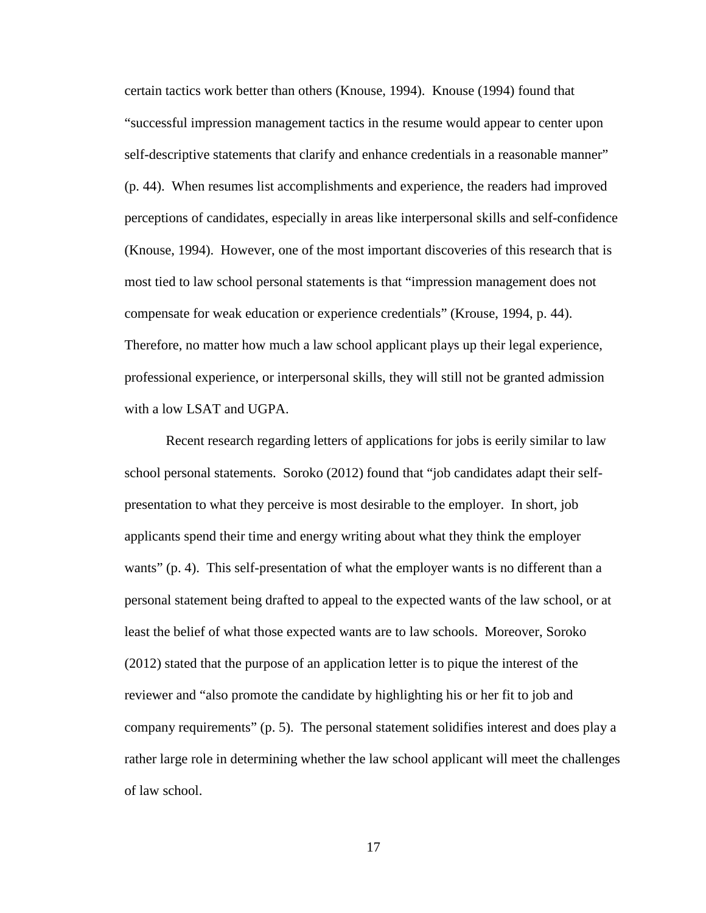certain tactics work better than others (Knouse, 1994). Knouse (1994) found that "successful impression management tactics in the resume would appear to center upon self-descriptive statements that clarify and enhance credentials in a reasonable manner" (p. 44). When resumes list accomplishments and experience, the readers had improved perceptions of candidates, especially in areas like interpersonal skills and self-confidence (Knouse, 1994). However, one of the most important discoveries of this research that is most tied to law school personal statements is that "impression management does not compensate for weak education or experience credentials" (Krouse, 1994, p. 44). Therefore, no matter how much a law school applicant plays up their legal experience, professional experience, or interpersonal skills, they will still not be granted admission with a low LSAT and UGPA.

Recent research regarding letters of applications for jobs is eerily similar to law school personal statements. Soroko (2012) found that "job candidates adapt their selfpresentation to what they perceive is most desirable to the employer. In short, job applicants spend their time and energy writing about what they think the employer wants" (p. 4). This self-presentation of what the employer wants is no different than a personal statement being drafted to appeal to the expected wants of the law school, or at least the belief of what those expected wants are to law schools. Moreover, Soroko (2012) stated that the purpose of an application letter is to pique the interest of the reviewer and "also promote the candidate by highlighting his or her fit to job and company requirements" (p. 5). The personal statement solidifies interest and does play a rather large role in determining whether the law school applicant will meet the challenges of law school.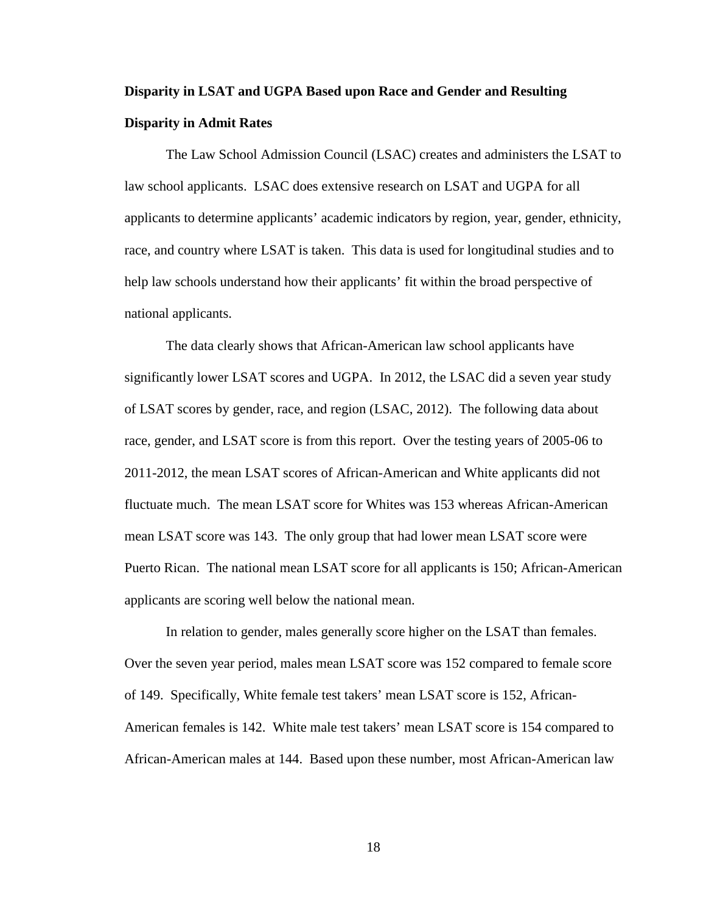# **Disparity in LSAT and UGPA Based upon Race and Gender and Resulting Disparity in Admit Rates**

The Law School Admission Council (LSAC) creates and administers the LSAT to law school applicants. LSAC does extensive research on LSAT and UGPA for all applicants to determine applicants' academic indicators by region, year, gender, ethnicity, race, and country where LSAT is taken. This data is used for longitudinal studies and to help law schools understand how their applicants' fit within the broad perspective of national applicants.

The data clearly shows that African-American law school applicants have significantly lower LSAT scores and UGPA. In 2012, the LSAC did a seven year study of LSAT scores by gender, race, and region (LSAC, 2012). The following data about race, gender, and LSAT score is from this report. Over the testing years of 2005-06 to 2011-2012, the mean LSAT scores of African-American and White applicants did not fluctuate much. The mean LSAT score for Whites was 153 whereas African-American mean LSAT score was 143. The only group that had lower mean LSAT score were Puerto Rican. The national mean LSAT score for all applicants is 150; African-American applicants are scoring well below the national mean.

In relation to gender, males generally score higher on the LSAT than females. Over the seven year period, males mean LSAT score was 152 compared to female score of 149. Specifically, White female test takers' mean LSAT score is 152, African-American females is 142. White male test takers' mean LSAT score is 154 compared to African-American males at 144. Based upon these number, most African-American law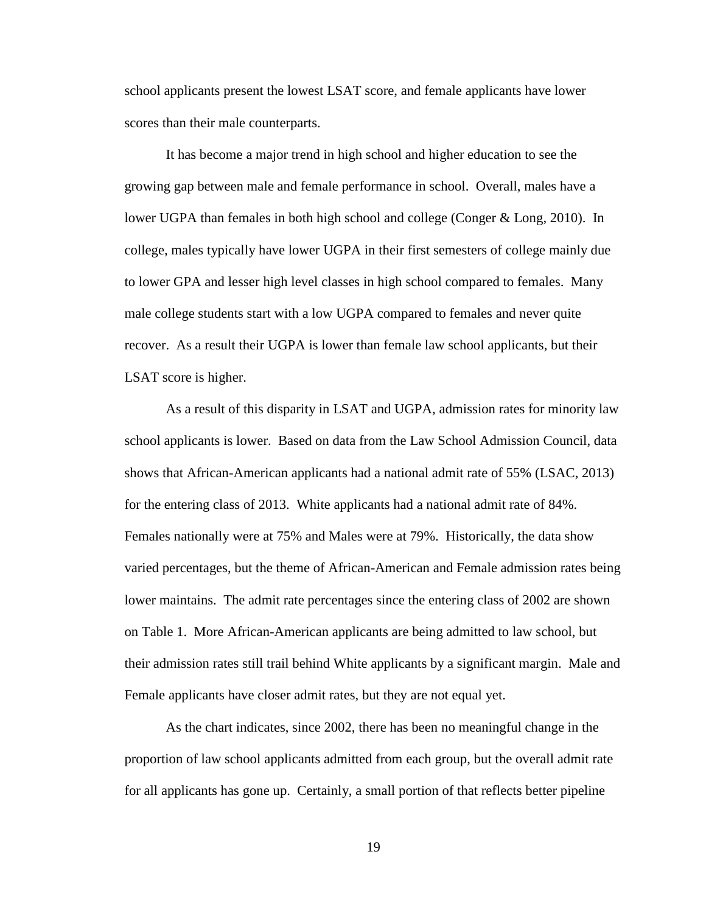school applicants present the lowest LSAT score, and female applicants have lower scores than their male counterparts.

It has become a major trend in high school and higher education to see the growing gap between male and female performance in school. Overall, males have a lower UGPA than females in both high school and college (Conger & Long, 2010). In college, males typically have lower UGPA in their first semesters of college mainly due to lower GPA and lesser high level classes in high school compared to females. Many male college students start with a low UGPA compared to females and never quite recover. As a result their UGPA is lower than female law school applicants, but their LSAT score is higher.

As a result of this disparity in LSAT and UGPA, admission rates for minority law school applicants is lower. Based on data from the Law School Admission Council, data shows that African-American applicants had a national admit rate of 55% (LSAC, 2013) for the entering class of 2013. White applicants had a national admit rate of 84%. Females nationally were at 75% and Males were at 79%. Historically, the data show varied percentages, but the theme of African-American and Female admission rates being lower maintains. The admit rate percentages since the entering class of 2002 are shown on Table 1. More African-American applicants are being admitted to law school, but their admission rates still trail behind White applicants by a significant margin. Male and Female applicants have closer admit rates, but they are not equal yet.

As the chart indicates, since 2002, there has been no meaningful change in the proportion of law school applicants admitted from each group, but the overall admit rate for all applicants has gone up. Certainly, a small portion of that reflects better pipeline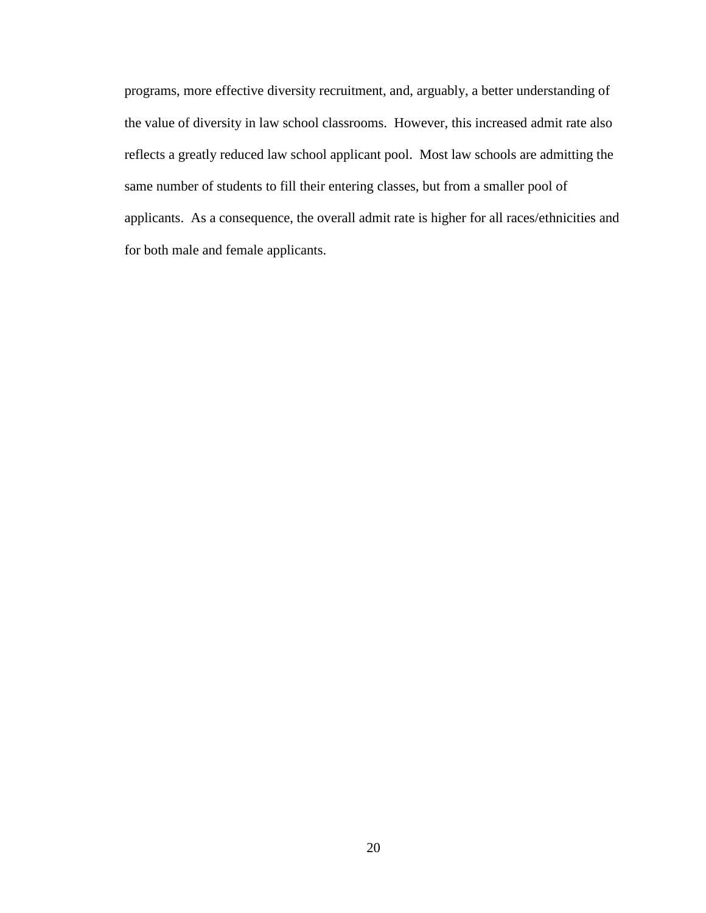programs, more effective diversity recruitment, and, arguably, a better understanding of the value of diversity in law school classrooms. However, this increased admit rate also reflects a greatly reduced law school applicant pool. Most law schools are admitting the same number of students to fill their entering classes, but from a smaller pool of applicants. As a consequence, the overall admit rate is higher for all races/ethnicities and for both male and female applicants.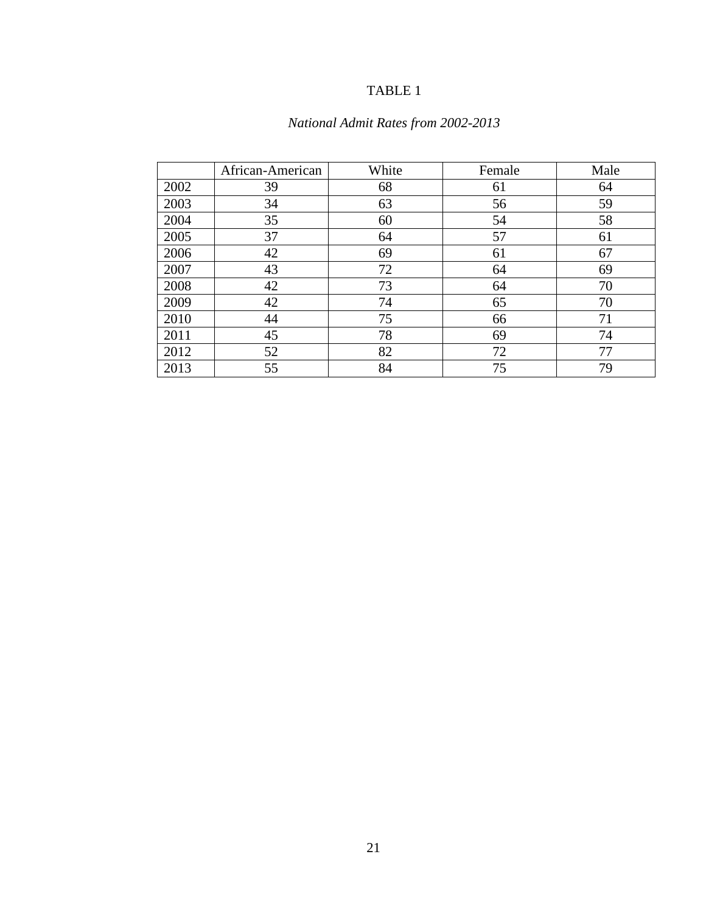# TABLE 1

# *National Admit Rates from 2002-2013*

|      | African-American | White | Female | Male |
|------|------------------|-------|--------|------|
| 2002 | 39               | 68    | 61     | 64   |
| 2003 | 34               | 63    | 56     | 59   |
| 2004 | 35               | 60    | 54     | 58   |
| 2005 | 37               | 64    | 57     | 61   |
| 2006 | 42               | 69    | 61     | 67   |
| 2007 | 43               | 72    | 64     | 69   |
| 2008 | 42               | 73    | 64     | 70   |
| 2009 | 42               | 74    | 65     | 70   |
| 2010 | 44               | 75    | 66     | 71   |
| 2011 | 45               | 78    | 69     | 74   |
| 2012 | 52               | 82    | 72     | 77   |
| 2013 | 55               | 84    | 75     | 79   |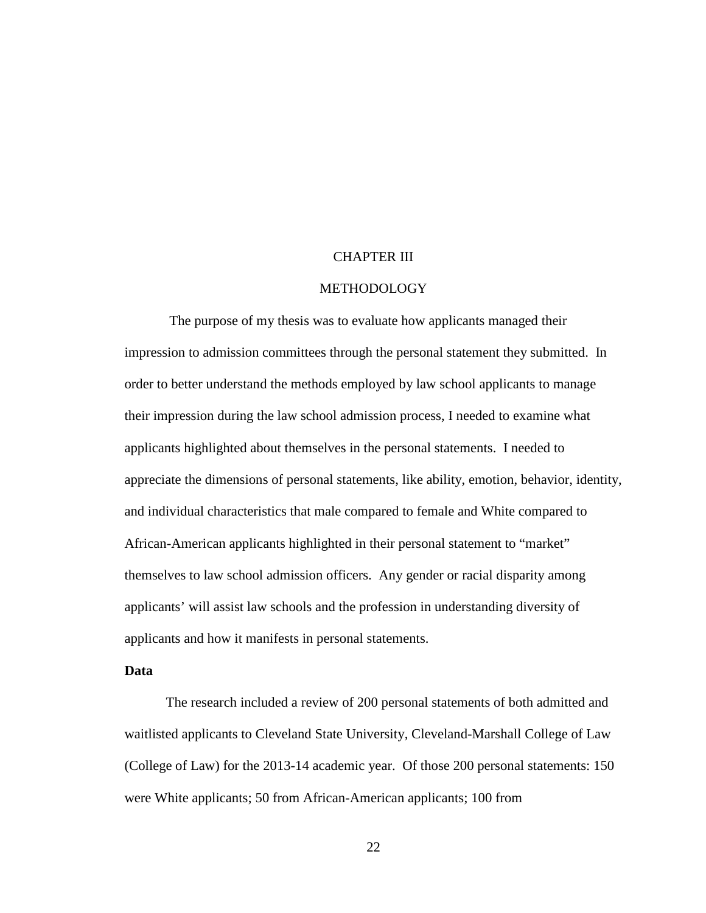## CHAPTER III

### METHODOLOGY

The purpose of my thesis was to evaluate how applicants managed their impression to admission committees through the personal statement they submitted. In order to better understand the methods employed by law school applicants to manage their impression during the law school admission process, I needed to examine what applicants highlighted about themselves in the personal statements. I needed to appreciate the dimensions of personal statements, like ability, emotion, behavior, identity, and individual characteristics that male compared to female and White compared to African-American applicants highlighted in their personal statement to "market" themselves to law school admission officers. Any gender or racial disparity among applicants' will assist law schools and the profession in understanding diversity of applicants and how it manifests in personal statements.

### **Data**

The research included a review of 200 personal statements of both admitted and waitlisted applicants to Cleveland State University, Cleveland-Marshall College of Law (College of Law) for the 2013-14 academic year. Of those 200 personal statements: 150 were White applicants; 50 from African-American applicants; 100 from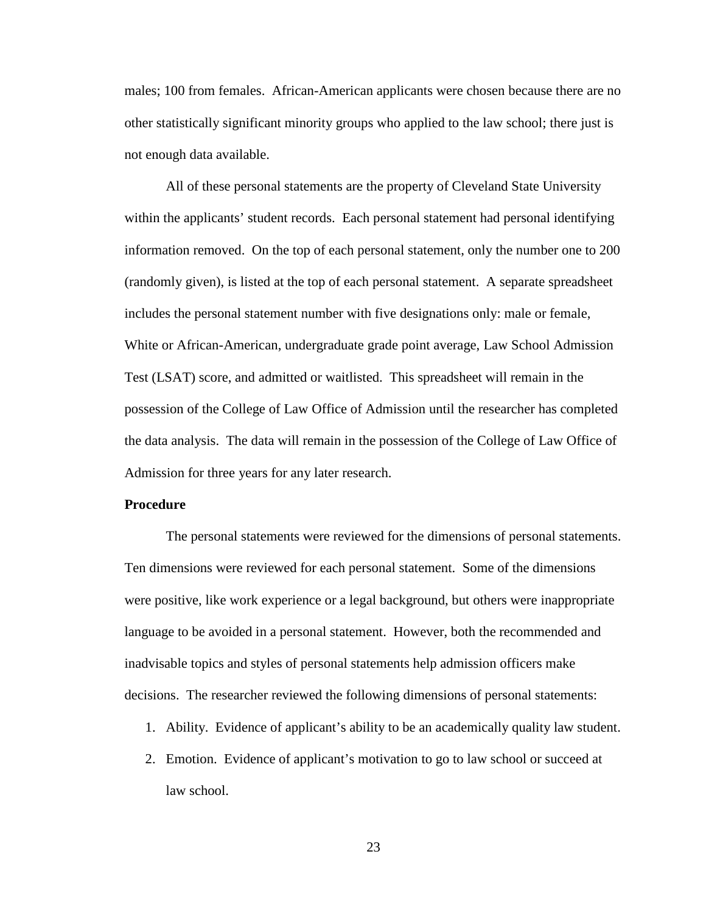males; 100 from females. African-American applicants were chosen because there are no other statistically significant minority groups who applied to the law school; there just is not enough data available.

All of these personal statements are the property of Cleveland State University within the applicants' student records. Each personal statement had personal identifying information removed. On the top of each personal statement, only the number one to 200 (randomly given), is listed at the top of each personal statement. A separate spreadsheet includes the personal statement number with five designations only: male or female, White or African-American, undergraduate grade point average, Law School Admission Test (LSAT) score, and admitted or waitlisted. This spreadsheet will remain in the possession of the College of Law Office of Admission until the researcher has completed the data analysis. The data will remain in the possession of the College of Law Office of Admission for three years for any later research.

#### **Procedure**

The personal statements were reviewed for the dimensions of personal statements. Ten dimensions were reviewed for each personal statement. Some of the dimensions were positive, like work experience or a legal background, but others were inappropriate language to be avoided in a personal statement. However, both the recommended and inadvisable topics and styles of personal statements help admission officers make decisions. The researcher reviewed the following dimensions of personal statements:

- 1. Ability. Evidence of applicant's ability to be an academically quality law student.
- 2. Emotion. Evidence of applicant's motivation to go to law school or succeed at law school.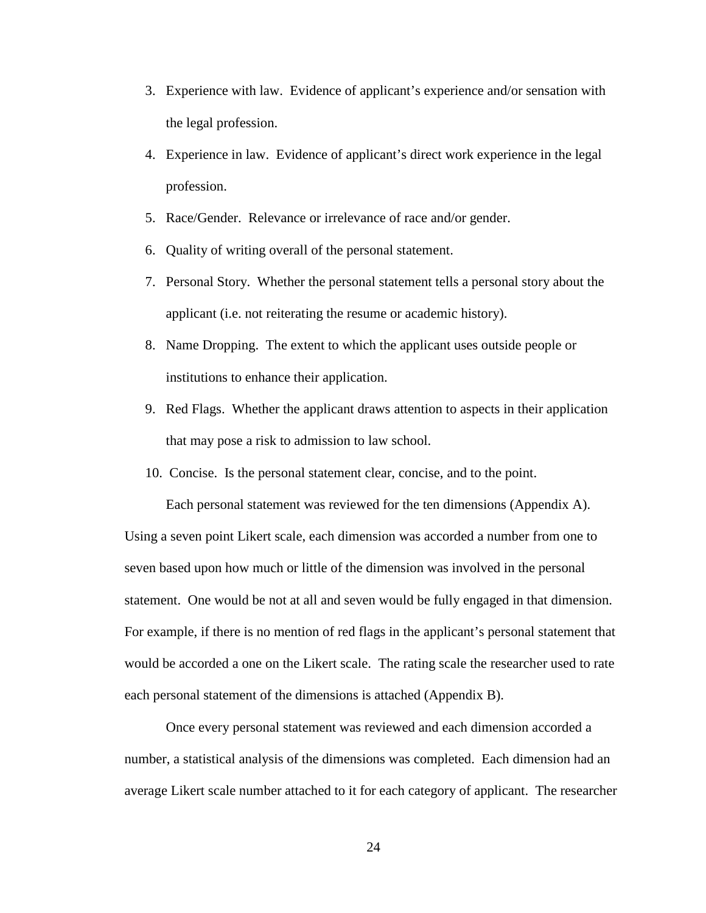- 3. Experience with law. Evidence of applicant's experience and/or sensation with the legal profession.
- 4. Experience in law. Evidence of applicant's direct work experience in the legal profession.
- 5. Race/Gender. Relevance or irrelevance of race and/or gender.
- 6. Quality of writing overall of the personal statement.
- 7. Personal Story. Whether the personal statement tells a personal story about the applicant (i.e. not reiterating the resume or academic history).
- 8. Name Dropping. The extent to which the applicant uses outside people or institutions to enhance their application.
- 9. Red Flags. Whether the applicant draws attention to aspects in their application that may pose a risk to admission to law school.

Each personal statement was reviewed for the ten dimensions (Appendix A).

10. Concise. Is the personal statement clear, concise, and to the point.

Using a seven point Likert scale, each dimension was accorded a number from one to seven based upon how much or little of the dimension was involved in the personal statement. One would be not at all and seven would be fully engaged in that dimension. For example, if there is no mention of red flags in the applicant's personal statement that would be accorded a one on the Likert scale. The rating scale the researcher used to rate each personal statement of the dimensions is attached (Appendix B).

Once every personal statement was reviewed and each dimension accorded a number, a statistical analysis of the dimensions was completed. Each dimension had an average Likert scale number attached to it for each category of applicant. The researcher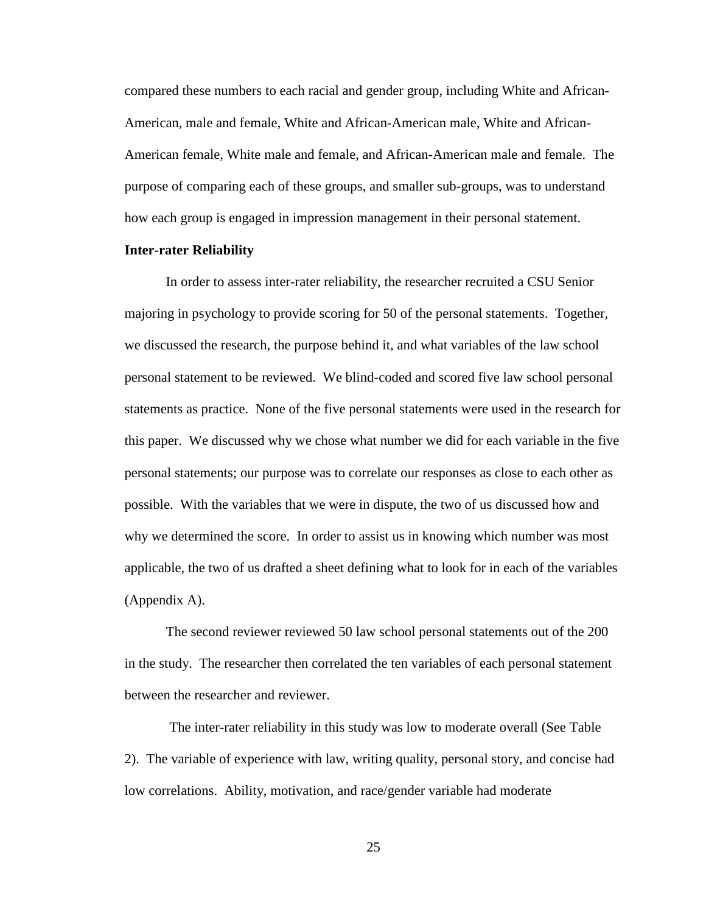compared these numbers to each racial and gender group, including White and African-American, male and female, White and African-American male, White and African-American female, White male and female, and African-American male and female. The purpose of comparing each of these groups, and smaller sub-groups, was to understand how each group is engaged in impression management in their personal statement.

### **Inter-rater Reliability**

In order to assess inter-rater reliability, the researcher recruited a CSU Senior majoring in psychology to provide scoring for 50 of the personal statements. Together, we discussed the research, the purpose behind it, and what variables of the law school personal statement to be reviewed. We blind-coded and scored five law school personal statements as practice. None of the five personal statements were used in the research for this paper. We discussed why we chose what number we did for each variable in the five personal statements; our purpose was to correlate our responses as close to each other as possible. With the variables that we were in dispute, the two of us discussed how and why we determined the score. In order to assist us in knowing which number was most applicable, the two of us drafted a sheet defining what to look for in each of the variables (Appendix A).

The second reviewer reviewed 50 law school personal statements out of the 200 in the study. The researcher then correlated the ten variables of each personal statement between the researcher and reviewer.

The inter-rater reliability in this study was low to moderate overall (See Table 2). The variable of experience with law, writing quality, personal story, and concise had low correlations. Ability, motivation, and race/gender variable had moderate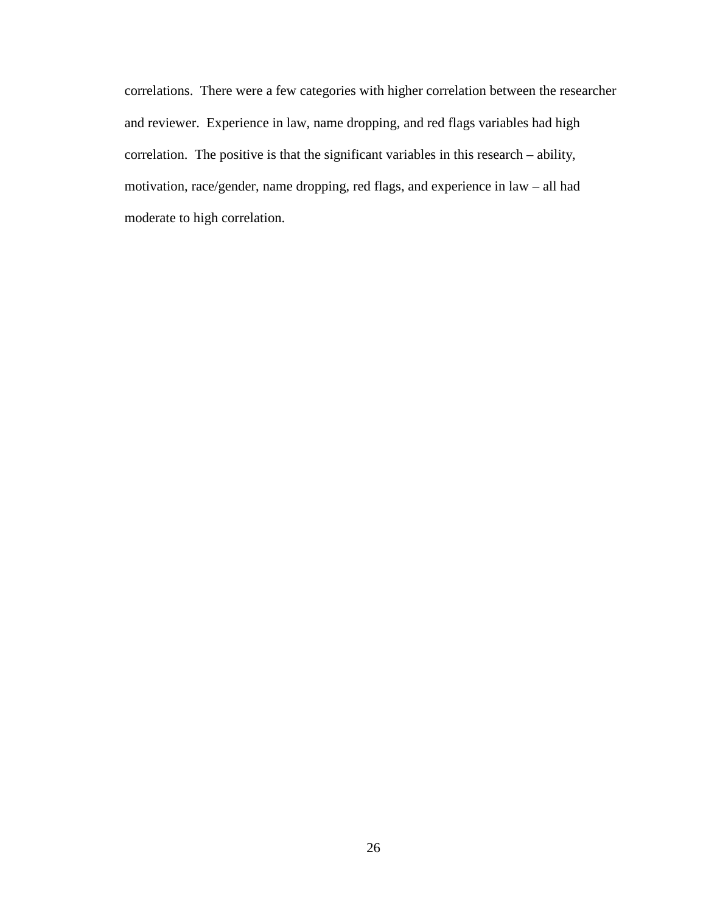correlations. There were a few categories with higher correlation between the researcher and reviewer. Experience in law, name dropping, and red flags variables had high correlation. The positive is that the significant variables in this research – ability, motivation, race/gender, name dropping, red flags, and experience in law – all had moderate to high correlation.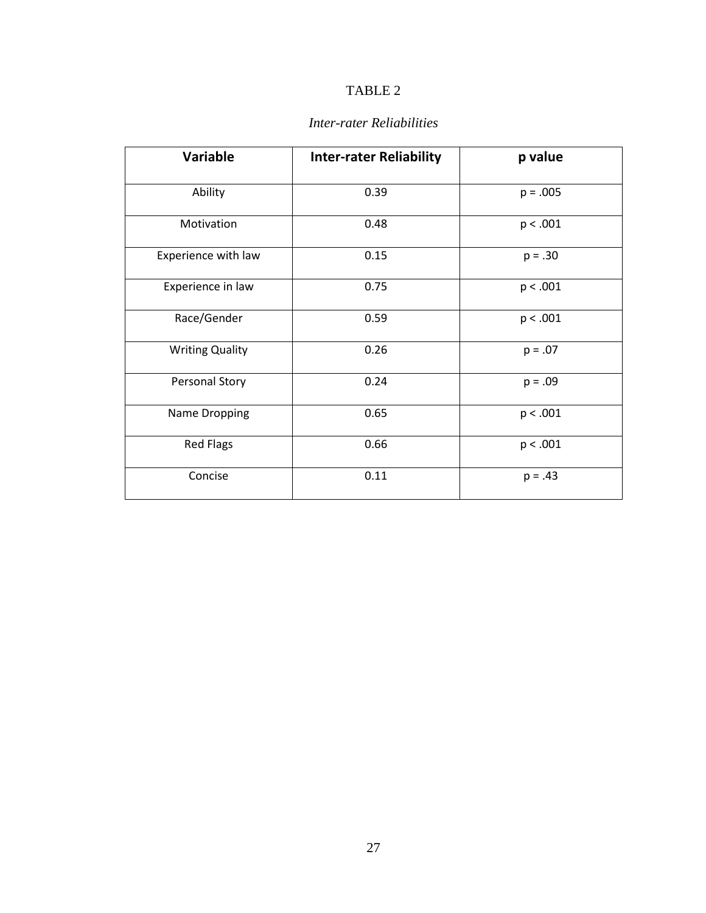# TABLE 2

| <b>Variable</b>        | <b>Inter-rater Reliability</b> | p value    |
|------------------------|--------------------------------|------------|
| Ability                | 0.39                           | $p = .005$ |
| Motivation             | 0.48                           | p < .001   |
| Experience with law    | 0.15                           | $p = .30$  |
| Experience in law      | 0.75                           | p < .001   |
| Race/Gender            | 0.59                           | p < .001   |
| <b>Writing Quality</b> | 0.26                           | $p = .07$  |
| <b>Personal Story</b>  | 0.24                           | $p = .09$  |
| Name Dropping          | 0.65                           | p < .001   |
| <b>Red Flags</b>       | 0.66                           | p < .001   |
| Concise                | 0.11                           | $p = .43$  |

# *Inter-rater Reliabilities*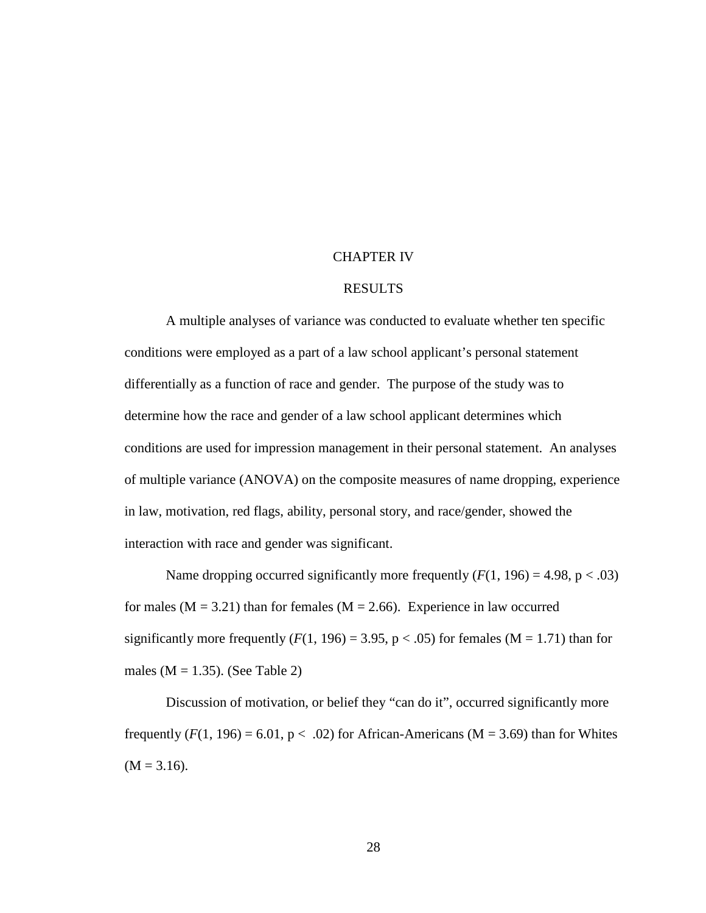#### CHAPTER IV

## RESULTS

A multiple analyses of variance was conducted to evaluate whether ten specific conditions were employed as a part of a law school applicant's personal statement differentially as a function of race and gender. The purpose of the study was to determine how the race and gender of a law school applicant determines which conditions are used for impression management in their personal statement. An analyses of multiple variance (ANOVA) on the composite measures of name dropping, experience in law, motivation, red flags, ability, personal story, and race/gender, showed the interaction with race and gender was significant.

Name dropping occurred significantly more frequently  $(F(1, 196) = 4.98, p < .03)$ for males ( $M = 3.21$ ) than for females ( $M = 2.66$ ). Experience in law occurred significantly more frequently  $(F(1, 196) = 3.95, p < .05)$  for females  $(M = 1.71)$  than for males ( $M = 1.35$ ). (See Table 2)

Discussion of motivation, or belief they "can do it", occurred significantly more frequently  $(F(1, 196) = 6.01, p < .02)$  for African-Americans (M = 3.69) than for Whites  $(M = 3.16)$ .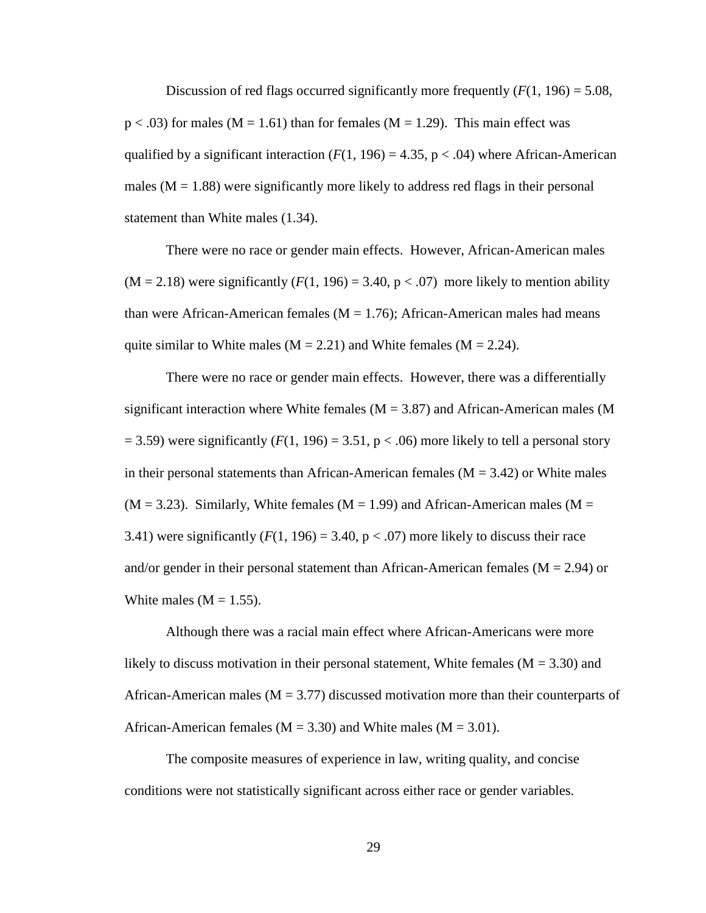Discussion of red flags occurred significantly more frequently  $(F(1, 196) = 5.08$ ,  $p < .03$ ) for males (M = 1.61) than for females (M = 1.29). This main effect was qualified by a significant interaction  $(F(1, 196) = 4.35, p < .04)$  where African-American males ( $M = 1.88$ ) were significantly more likely to address red flags in their personal statement than White males (1.34).

There were no race or gender main effects. However, African-American males  $(M = 2.18)$  were significantly  $(F(1, 196) = 3.40, p < .07)$  more likely to mention ability than were African-American females ( $M = 1.76$ ); African-American males had means quite similar to White males ( $M = 2.21$ ) and White females ( $M = 2.24$ ).

There were no race or gender main effects. However, there was a differentially significant interaction where White females ( $M = 3.87$ ) and African-American males (M  $=$  3.59) were significantly ( $F(1, 196) = 3.51$ ,  $p < .06$ ) more likely to tell a personal story in their personal statements than African-American females ( $M = 3.42$ ) or White males  $(M = 3.23)$ . Similarly, White females  $(M = 1.99)$  and African-American males  $(M = 1.99)$ 3.41) were significantly  $(F(1, 196) = 3.40, p < .07)$  more likely to discuss their race and/or gender in their personal statement than African-American females ( $M = 2.94$ ) or White males  $(M = 1.55)$ .

Although there was a racial main effect where African-Americans were more likely to discuss motivation in their personal statement, White females  $(M = 3.30)$  and African-American males ( $M = 3.77$ ) discussed motivation more than their counterparts of African-American females ( $M = 3.30$ ) and White males ( $M = 3.01$ ).

The composite measures of experience in law, writing quality, and concise conditions were not statistically significant across either race or gender variables.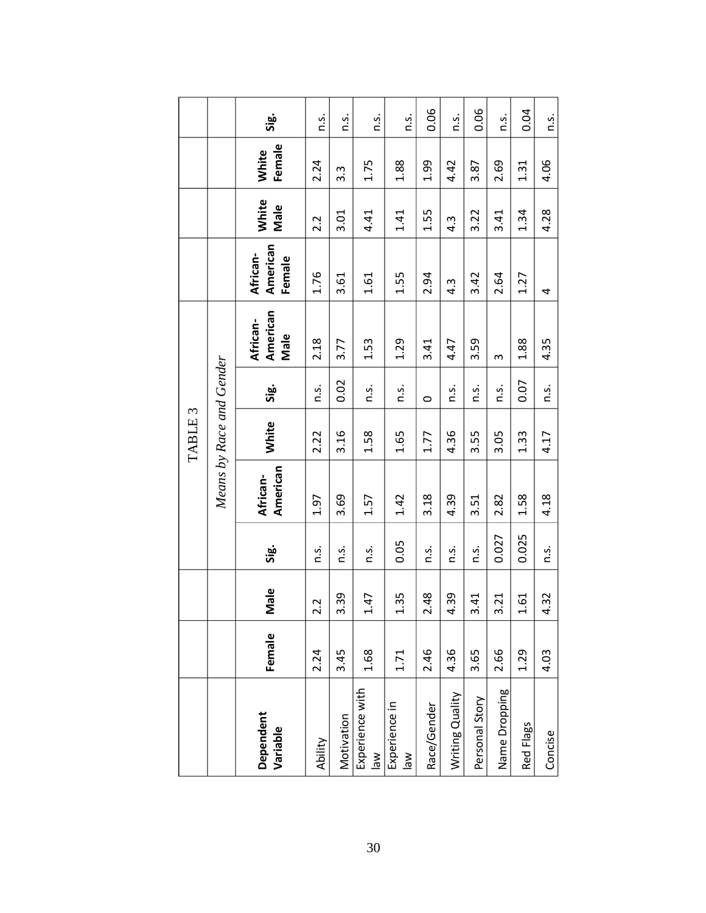|                    |                          | <u>ွှော</u>                    | is.         | Ω.           | $\ddot{0}$                     | $\ddot{0}$                            | 0.06        | n.s.             | 0.06           | n.s.          | 0.04         | n.s.         |              |
|--------------------|--------------------------|--------------------------------|-------------|--------------|--------------------------------|---------------------------------------|-------------|------------------|----------------|---------------|--------------|--------------|--------------|
|                    |                          | Female<br>White                | 2.24        | 3.3          | 1.75                           | 1.88                                  | 1.99        | 4.42             | 3.87           | 2.69          | 1.31         | 4.06         |              |
|                    |                          | <b>White</b><br>Male           | 2.2         | 3.01         | 4.41                           | 1.41                                  | 1.55        | $4.\overline{3}$ | 3.22           | 3.41          | 1.34         | 4.28         |              |
|                    |                          | American<br>African-<br>Female | 1.76        | 3.61         | 1.61                           | 1.55                                  | 2.94        | $4.\overline{3}$ | 3.42           | 2.64          | 1.27         | 4            |              |
| TABLE <sub>3</sub> | Means by Race and Gender | American<br>African-<br>Male   | 2.18        | 3.77         | 1.53                           | 1.29                                  | 3.41        | 4.47             | 3.59           | $\sim$        | 1.88         | 4.35         |              |
|                    |                          |                                | <u>ခ်င်</u> | $\ddot{S}$ . | 0.02                           | $\ddot{a}$ .                          | n.s.        | $\circ$          | $\ddot{0}$ .   | n.s.          | $\ddot{S}$ . | 0.07         | $\ddot{a}$ . |
|                    |                          | White                          | 2.22        | 3.16         | 1.58                           | 1.65                                  | 1.77        | 4.36             | 3.55           | 3.05          | 1.33         | 4.17         |              |
|                    |                          | American<br>African-           | 1.97        | 3.69         | 1.57                           | 1.42                                  | 3.18        | 4.39             | 3.51           | 2.82          | 1.58         | 4.18         |              |
|                    |                          | Sig.                           | n.s.        | n.s.         | $\ddot{c}$ .                   | 0.05                                  | n.s.        | n.s.             | $\ddot{c}$     | 0.027         | 0.025        | $\ddot{S}$ . |              |
|                    |                          | Male                           | 2.2         | 3.39         | 1.47                           | 1.35                                  | 2.48        | 4.39             | 3.41           | 3.21          | 1.61         | 4.32         |              |
|                    |                          | Female                         | 2.24        | 3.45         | 1.68                           | 1.71                                  | 2.46        | 4.36             | 3.65           | 2.66          | 1.29         | 4.03         |              |
|                    |                          | Dependent<br>Variable          | Ability     | Motivation   | Experience with<br>$M_{\odot}$ | Experience in<br>$\frac{1}{\sqrt{2}}$ | Race/Gender | Writing Quality  | Personal Story | Name Dropping | Red Flags    | Concise      |              |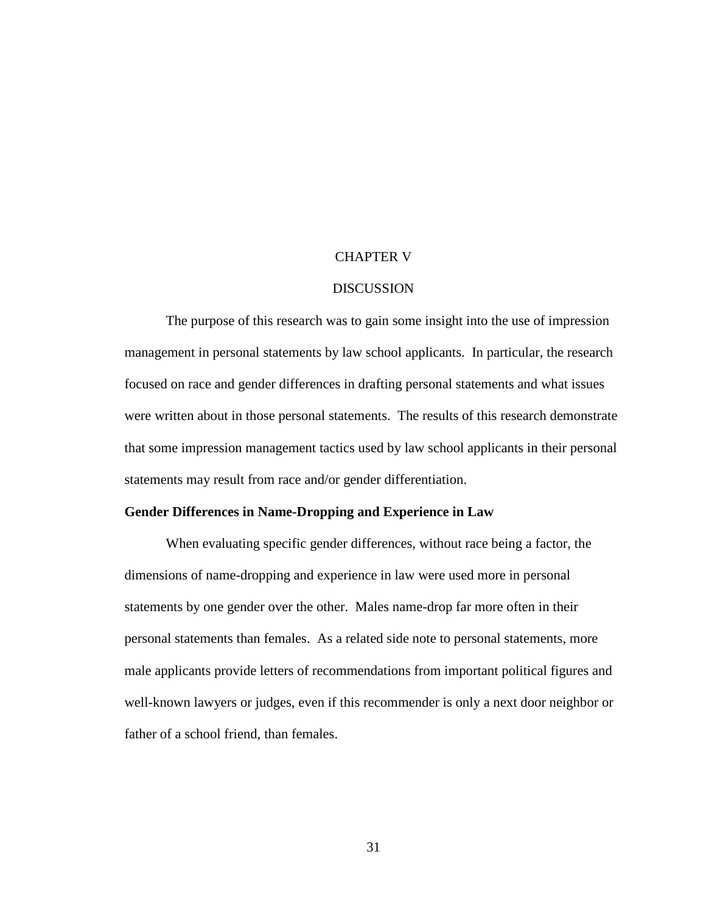### CHAPTER V

#### DISCUSSION

The purpose of this research was to gain some insight into the use of impression management in personal statements by law school applicants. In particular, the research focused on race and gender differences in drafting personal statements and what issues were written about in those personal statements. The results of this research demonstrate that some impression management tactics used by law school applicants in their personal statements may result from race and/or gender differentiation.

#### **Gender Differences in Name-Dropping and Experience in Law**

When evaluating specific gender differences, without race being a factor, the dimensions of name-dropping and experience in law were used more in personal statements by one gender over the other. Males name-drop far more often in their personal statements than females. As a related side note to personal statements, more male applicants provide letters of recommendations from important political figures and well-known lawyers or judges, even if this recommender is only a next door neighbor or father of a school friend, than females.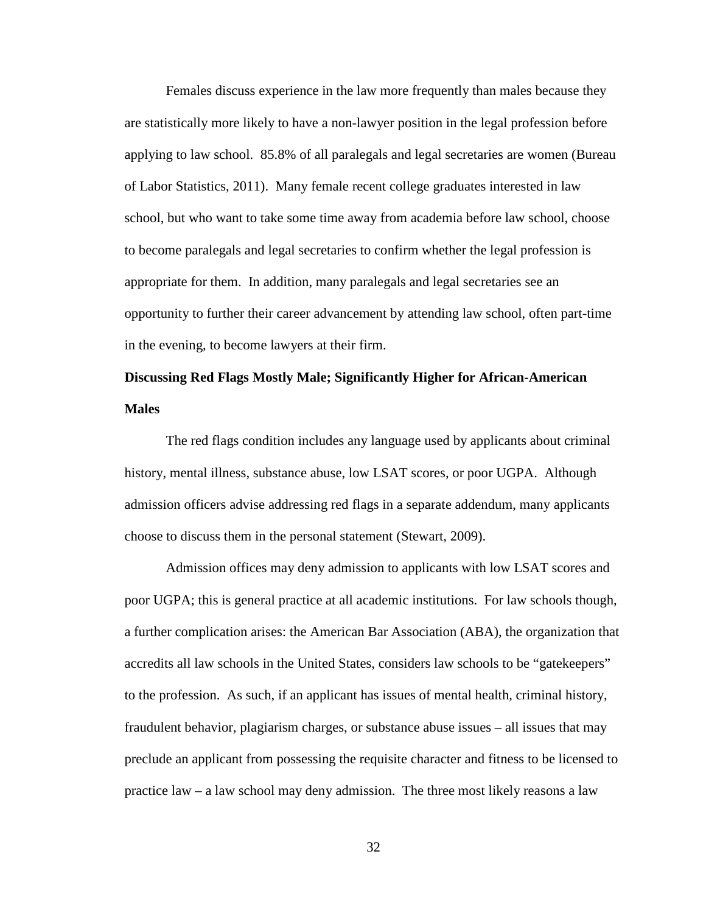Females discuss experience in the law more frequently than males because they are statistically more likely to have a non-lawyer position in the legal profession before applying to law school. 85.8% of all paralegals and legal secretaries are women (Bureau of Labor Statistics, 2011). Many female recent college graduates interested in law school, but who want to take some time away from academia before law school, choose to become paralegals and legal secretaries to confirm whether the legal profession is appropriate for them. In addition, many paralegals and legal secretaries see an opportunity to further their career advancement by attending law school, often part-time in the evening, to become lawyers at their firm.

# **Discussing Red Flags Mostly Male; Significantly Higher for African-American Males**

The red flags condition includes any language used by applicants about criminal history, mental illness, substance abuse, low LSAT scores, or poor UGPA. Although admission officers advise addressing red flags in a separate addendum, many applicants choose to discuss them in the personal statement (Stewart, 2009).

Admission offices may deny admission to applicants with low LSAT scores and poor UGPA; this is general practice at all academic institutions. For law schools though, a further complication arises: the American Bar Association (ABA), the organization that accredits all law schools in the United States, considers law schools to be "gatekeepers" to the profession. As such, if an applicant has issues of mental health, criminal history, fraudulent behavior, plagiarism charges, or substance abuse issues – all issues that may preclude an applicant from possessing the requisite character and fitness to be licensed to practice law – a law school may deny admission. The three most likely reasons a law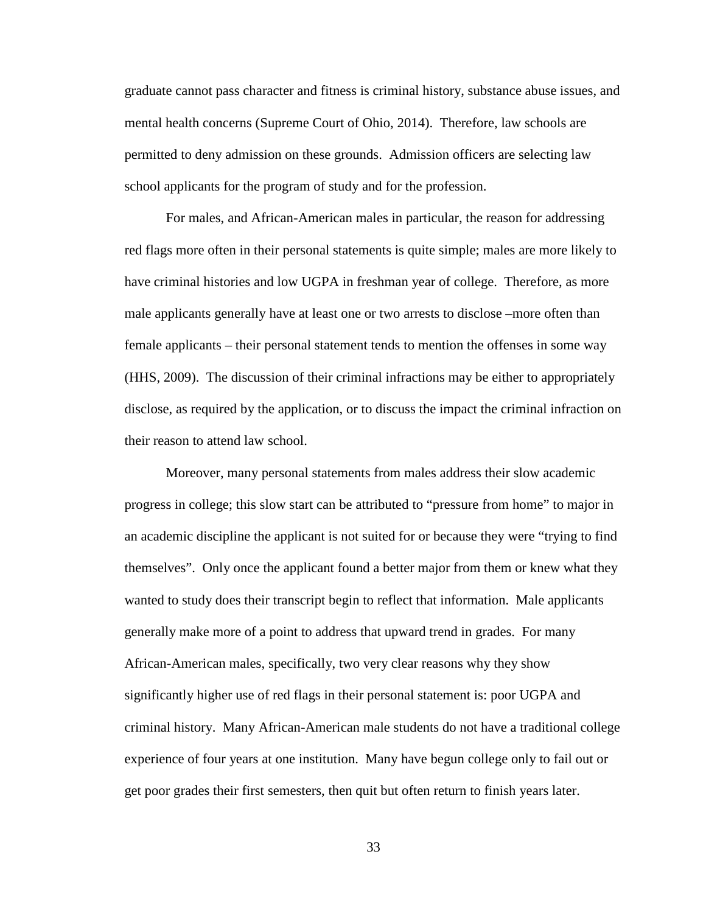graduate cannot pass character and fitness is criminal history, substance abuse issues, and mental health concerns (Supreme Court of Ohio, 2014). Therefore, law schools are permitted to deny admission on these grounds. Admission officers are selecting law school applicants for the program of study and for the profession.

For males, and African-American males in particular, the reason for addressing red flags more often in their personal statements is quite simple; males are more likely to have criminal histories and low UGPA in freshman year of college. Therefore, as more male applicants generally have at least one or two arrests to disclose –more often than female applicants – their personal statement tends to mention the offenses in some way (HHS, 2009). The discussion of their criminal infractions may be either to appropriately disclose, as required by the application, or to discuss the impact the criminal infraction on their reason to attend law school.

Moreover, many personal statements from males address their slow academic progress in college; this slow start can be attributed to "pressure from home" to major in an academic discipline the applicant is not suited for or because they were "trying to find themselves". Only once the applicant found a better major from them or knew what they wanted to study does their transcript begin to reflect that information. Male applicants generally make more of a point to address that upward trend in grades. For many African-American males, specifically, two very clear reasons why they show significantly higher use of red flags in their personal statement is: poor UGPA and criminal history. Many African-American male students do not have a traditional college experience of four years at one institution. Many have begun college only to fail out or get poor grades their first semesters, then quit but often return to finish years later.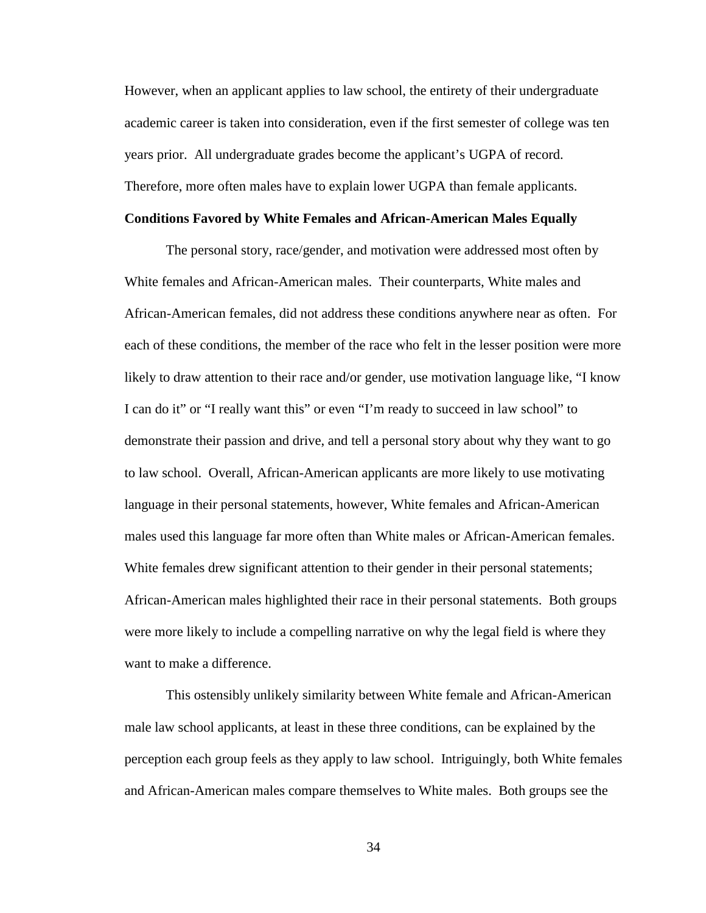However, when an applicant applies to law school, the entirety of their undergraduate academic career is taken into consideration, even if the first semester of college was ten years prior. All undergraduate grades become the applicant's UGPA of record. Therefore, more often males have to explain lower UGPA than female applicants.

## **Conditions Favored by White Females and African-American Males Equally**

The personal story, race/gender, and motivation were addressed most often by White females and African-American males. Their counterparts, White males and African-American females, did not address these conditions anywhere near as often. For each of these conditions, the member of the race who felt in the lesser position were more likely to draw attention to their race and/or gender, use motivation language like, "I know I can do it" or "I really want this" or even "I'm ready to succeed in law school" to demonstrate their passion and drive, and tell a personal story about why they want to go to law school. Overall, African-American applicants are more likely to use motivating language in their personal statements, however, White females and African-American males used this language far more often than White males or African-American females. White females drew significant attention to their gender in their personal statements; African-American males highlighted their race in their personal statements. Both groups were more likely to include a compelling narrative on why the legal field is where they want to make a difference.

This ostensibly unlikely similarity between White female and African-American male law school applicants, at least in these three conditions, can be explained by the perception each group feels as they apply to law school. Intriguingly, both White females and African-American males compare themselves to White males. Both groups see the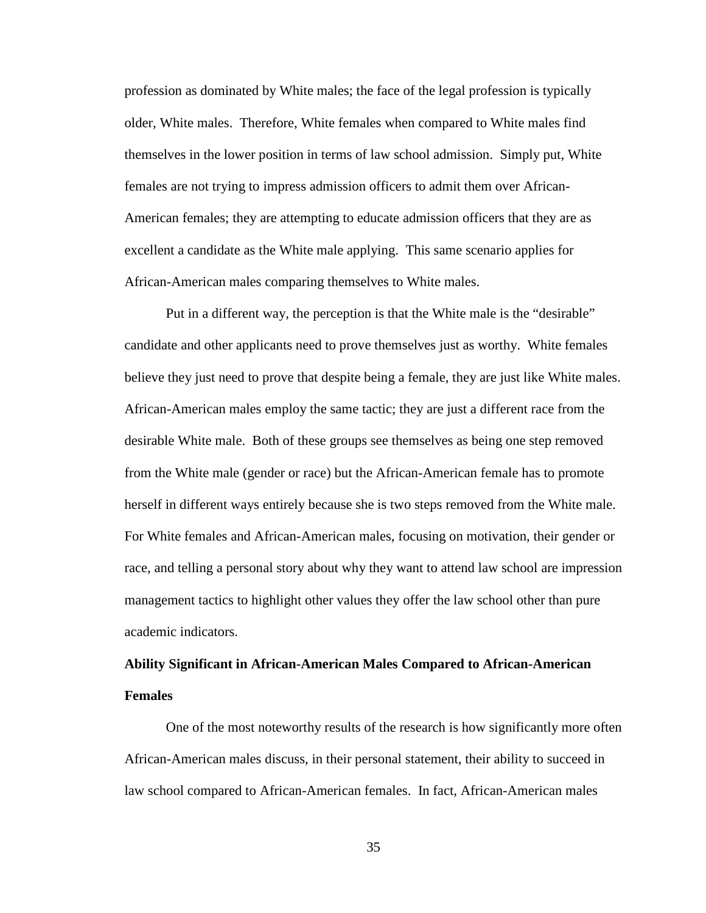profession as dominated by White males; the face of the legal profession is typically older, White males. Therefore, White females when compared to White males find themselves in the lower position in terms of law school admission. Simply put, White females are not trying to impress admission officers to admit them over African-American females; they are attempting to educate admission officers that they are as excellent a candidate as the White male applying. This same scenario applies for African-American males comparing themselves to White males.

Put in a different way, the perception is that the White male is the "desirable" candidate and other applicants need to prove themselves just as worthy. White females believe they just need to prove that despite being a female, they are just like White males. African-American males employ the same tactic; they are just a different race from the desirable White male. Both of these groups see themselves as being one step removed from the White male (gender or race) but the African-American female has to promote herself in different ways entirely because she is two steps removed from the White male. For White females and African-American males, focusing on motivation, their gender or race, and telling a personal story about why they want to attend law school are impression management tactics to highlight other values they offer the law school other than pure academic indicators.

# **Ability Significant in African-American Males Compared to African-American Females**

One of the most noteworthy results of the research is how significantly more often African-American males discuss, in their personal statement, their ability to succeed in law school compared to African-American females. In fact, African-American males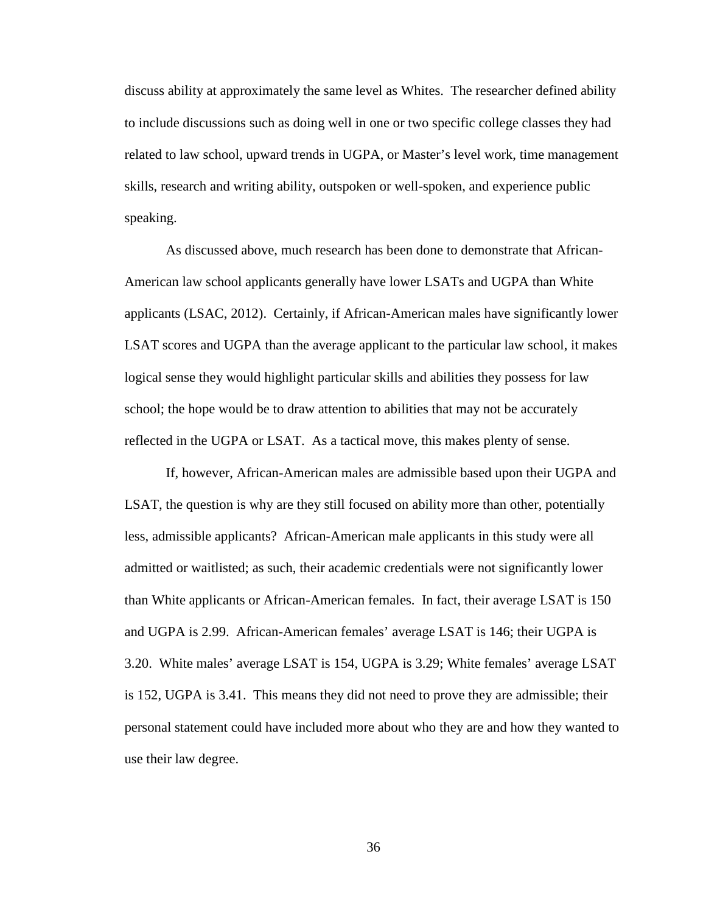discuss ability at approximately the same level as Whites. The researcher defined ability to include discussions such as doing well in one or two specific college classes they had related to law school, upward trends in UGPA, or Master's level work, time management skills, research and writing ability, outspoken or well-spoken, and experience public speaking.

As discussed above, much research has been done to demonstrate that African-American law school applicants generally have lower LSATs and UGPA than White applicants (LSAC, 2012). Certainly, if African-American males have significantly lower LSAT scores and UGPA than the average applicant to the particular law school, it makes logical sense they would highlight particular skills and abilities they possess for law school; the hope would be to draw attention to abilities that may not be accurately reflected in the UGPA or LSAT. As a tactical move, this makes plenty of sense.

If, however, African-American males are admissible based upon their UGPA and LSAT, the question is why are they still focused on ability more than other, potentially less, admissible applicants? African-American male applicants in this study were all admitted or waitlisted; as such, their academic credentials were not significantly lower than White applicants or African-American females. In fact, their average LSAT is 150 and UGPA is 2.99. African-American females' average LSAT is 146; their UGPA is 3.20. White males' average LSAT is 154, UGPA is 3.29; White females' average LSAT is 152, UGPA is 3.41. This means they did not need to prove they are admissible; their personal statement could have included more about who they are and how they wanted to use their law degree.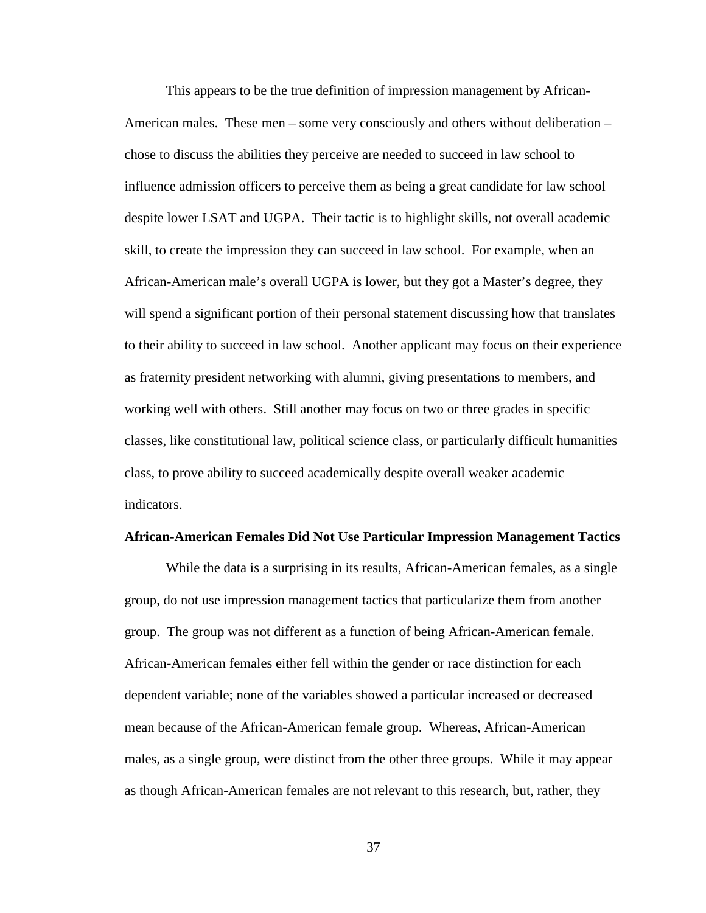This appears to be the true definition of impression management by African-American males. These men – some very consciously and others without deliberation – chose to discuss the abilities they perceive are needed to succeed in law school to influence admission officers to perceive them as being a great candidate for law school despite lower LSAT and UGPA. Their tactic is to highlight skills, not overall academic skill, to create the impression they can succeed in law school. For example, when an African-American male's overall UGPA is lower, but they got a Master's degree, they will spend a significant portion of their personal statement discussing how that translates to their ability to succeed in law school. Another applicant may focus on their experience as fraternity president networking with alumni, giving presentations to members, and working well with others. Still another may focus on two or three grades in specific classes, like constitutional law, political science class, or particularly difficult humanities class, to prove ability to succeed academically despite overall weaker academic indicators.

#### **African-American Females Did Not Use Particular Impression Management Tactics**

While the data is a surprising in its results, African-American females, as a single group, do not use impression management tactics that particularize them from another group. The group was not different as a function of being African-American female. African-American females either fell within the gender or race distinction for each dependent variable; none of the variables showed a particular increased or decreased mean because of the African-American female group. Whereas, African-American males, as a single group, were distinct from the other three groups. While it may appear as though African-American females are not relevant to this research, but, rather, they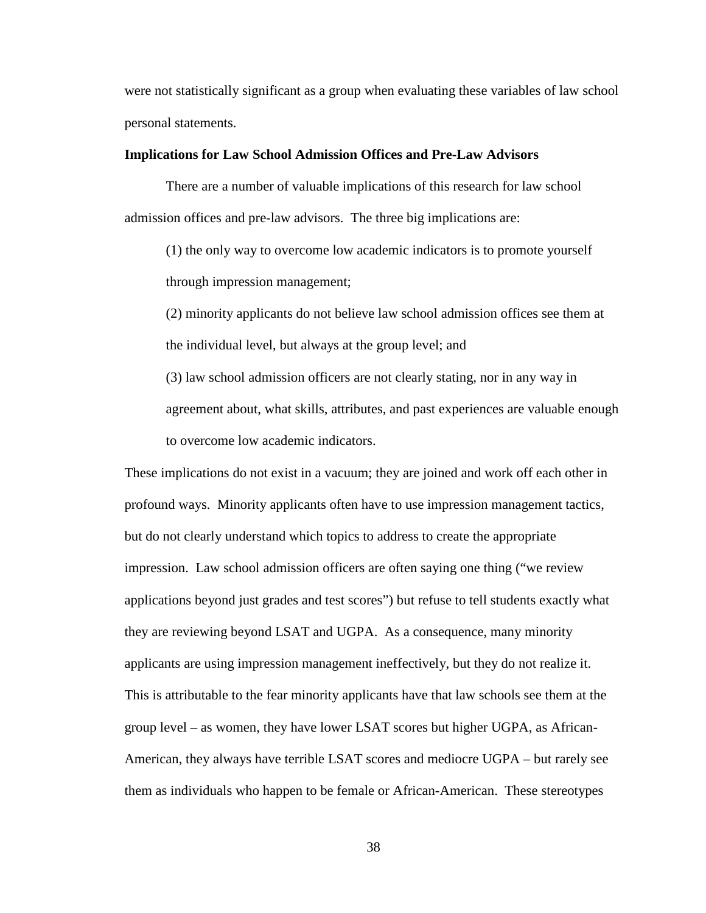were not statistically significant as a group when evaluating these variables of law school personal statements.

### **Implications for Law School Admission Offices and Pre-Law Advisors**

There are a number of valuable implications of this research for law school admission offices and pre-law advisors. The three big implications are:

(1) the only way to overcome low academic indicators is to promote yourself through impression management;

(2) minority applicants do not believe law school admission offices see them at the individual level, but always at the group level; and

(3) law school admission officers are not clearly stating, nor in any way in agreement about, what skills, attributes, and past experiences are valuable enough to overcome low academic indicators.

These implications do not exist in a vacuum; they are joined and work off each other in profound ways. Minority applicants often have to use impression management tactics, but do not clearly understand which topics to address to create the appropriate impression. Law school admission officers are often saying one thing ("we review applications beyond just grades and test scores") but refuse to tell students exactly what they are reviewing beyond LSAT and UGPA. As a consequence, many minority applicants are using impression management ineffectively, but they do not realize it. This is attributable to the fear minority applicants have that law schools see them at the group level – as women, they have lower LSAT scores but higher UGPA, as African-American, they always have terrible LSAT scores and mediocre UGPA – but rarely see them as individuals who happen to be female or African-American. These stereotypes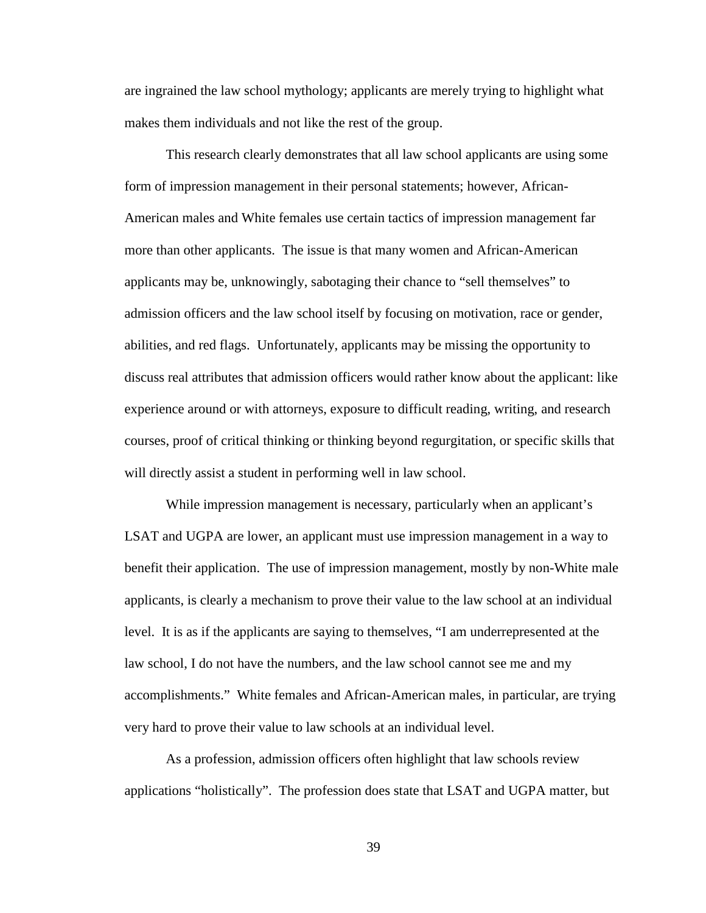are ingrained the law school mythology; applicants are merely trying to highlight what makes them individuals and not like the rest of the group.

This research clearly demonstrates that all law school applicants are using some form of impression management in their personal statements; however, African-American males and White females use certain tactics of impression management far more than other applicants. The issue is that many women and African-American applicants may be, unknowingly, sabotaging their chance to "sell themselves" to admission officers and the law school itself by focusing on motivation, race or gender, abilities, and red flags. Unfortunately, applicants may be missing the opportunity to discuss real attributes that admission officers would rather know about the applicant: like experience around or with attorneys, exposure to difficult reading, writing, and research courses, proof of critical thinking or thinking beyond regurgitation, or specific skills that will directly assist a student in performing well in law school.

While impression management is necessary, particularly when an applicant's LSAT and UGPA are lower, an applicant must use impression management in a way to benefit their application. The use of impression management, mostly by non-White male applicants, is clearly a mechanism to prove their value to the law school at an individual level. It is as if the applicants are saying to themselves, "I am underrepresented at the law school, I do not have the numbers, and the law school cannot see me and my accomplishments." White females and African-American males, in particular, are trying very hard to prove their value to law schools at an individual level.

As a profession, admission officers often highlight that law schools review applications "holistically". The profession does state that LSAT and UGPA matter, but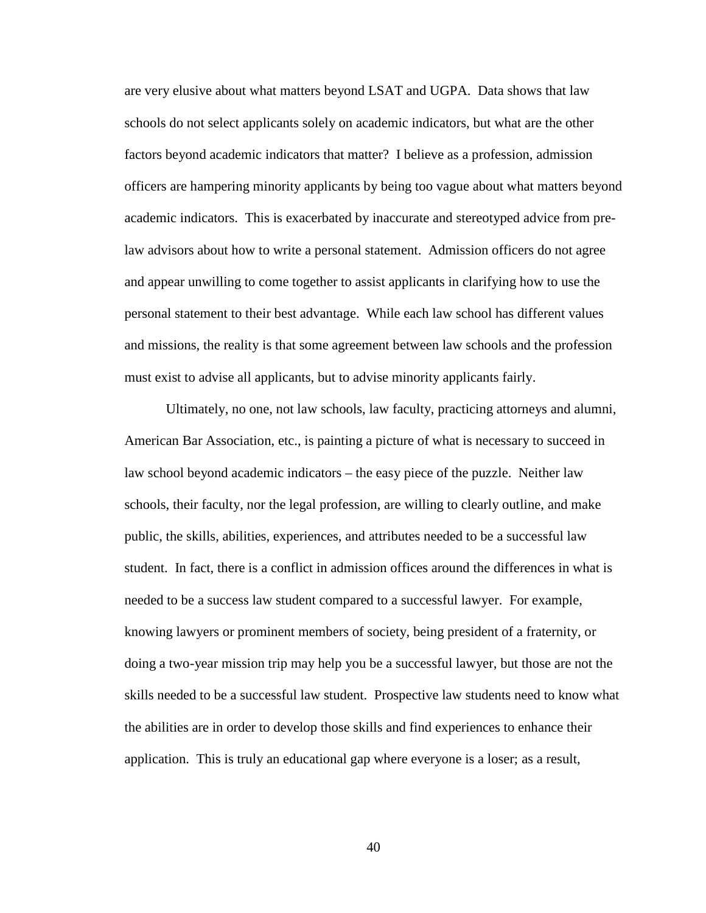are very elusive about what matters beyond LSAT and UGPA. Data shows that law schools do not select applicants solely on academic indicators, but what are the other factors beyond academic indicators that matter? I believe as a profession, admission officers are hampering minority applicants by being too vague about what matters beyond academic indicators. This is exacerbated by inaccurate and stereotyped advice from prelaw advisors about how to write a personal statement. Admission officers do not agree and appear unwilling to come together to assist applicants in clarifying how to use the personal statement to their best advantage. While each law school has different values and missions, the reality is that some agreement between law schools and the profession must exist to advise all applicants, but to advise minority applicants fairly.

Ultimately, no one, not law schools, law faculty, practicing attorneys and alumni, American Bar Association, etc., is painting a picture of what is necessary to succeed in law school beyond academic indicators – the easy piece of the puzzle. Neither law schools, their faculty, nor the legal profession, are willing to clearly outline, and make public, the skills, abilities, experiences, and attributes needed to be a successful law student. In fact, there is a conflict in admission offices around the differences in what is needed to be a success law student compared to a successful lawyer. For example, knowing lawyers or prominent members of society, being president of a fraternity, or doing a two-year mission trip may help you be a successful lawyer, but those are not the skills needed to be a successful law student. Prospective law students need to know what the abilities are in order to develop those skills and find experiences to enhance their application. This is truly an educational gap where everyone is a loser; as a result,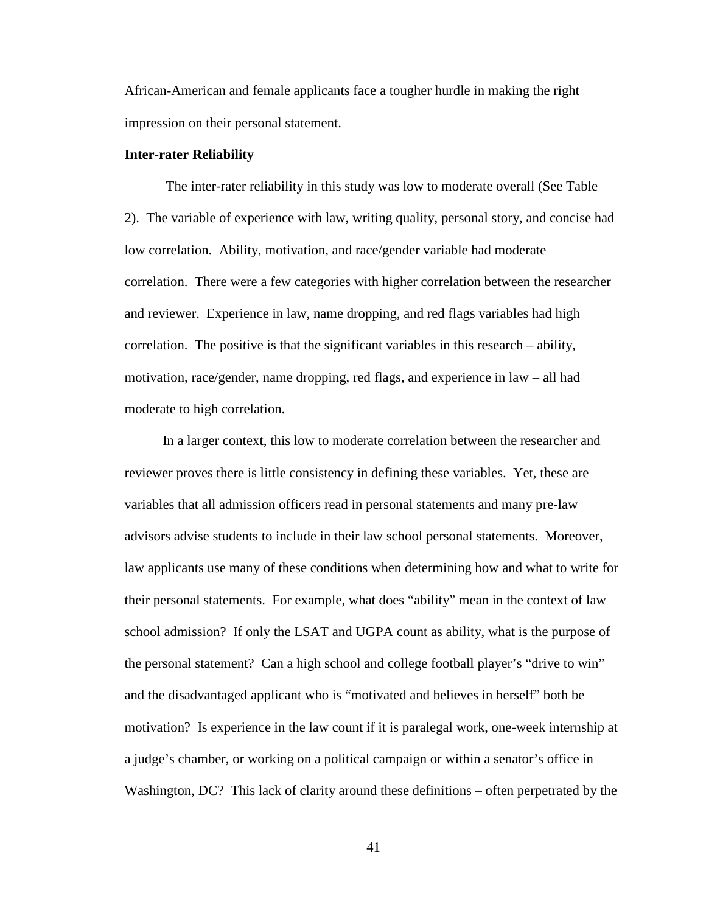African-American and female applicants face a tougher hurdle in making the right impression on their personal statement.

#### **Inter-rater Reliability**

The inter-rater reliability in this study was low to moderate overall (See Table 2). The variable of experience with law, writing quality, personal story, and concise had low correlation. Ability, motivation, and race/gender variable had moderate correlation. There were a few categories with higher correlation between the researcher and reviewer. Experience in law, name dropping, and red flags variables had high correlation. The positive is that the significant variables in this research – ability, motivation, race/gender, name dropping, red flags, and experience in law – all had moderate to high correlation.

 In a larger context, this low to moderate correlation between the researcher and reviewer proves there is little consistency in defining these variables. Yet, these are variables that all admission officers read in personal statements and many pre-law advisors advise students to include in their law school personal statements. Moreover, law applicants use many of these conditions when determining how and what to write for their personal statements. For example, what does "ability" mean in the context of law school admission? If only the LSAT and UGPA count as ability, what is the purpose of the personal statement? Can a high school and college football player's "drive to win" and the disadvantaged applicant who is "motivated and believes in herself" both be motivation? Is experience in the law count if it is paralegal work, one-week internship at a judge's chamber, or working on a political campaign or within a senator's office in Washington, DC? This lack of clarity around these definitions – often perpetrated by the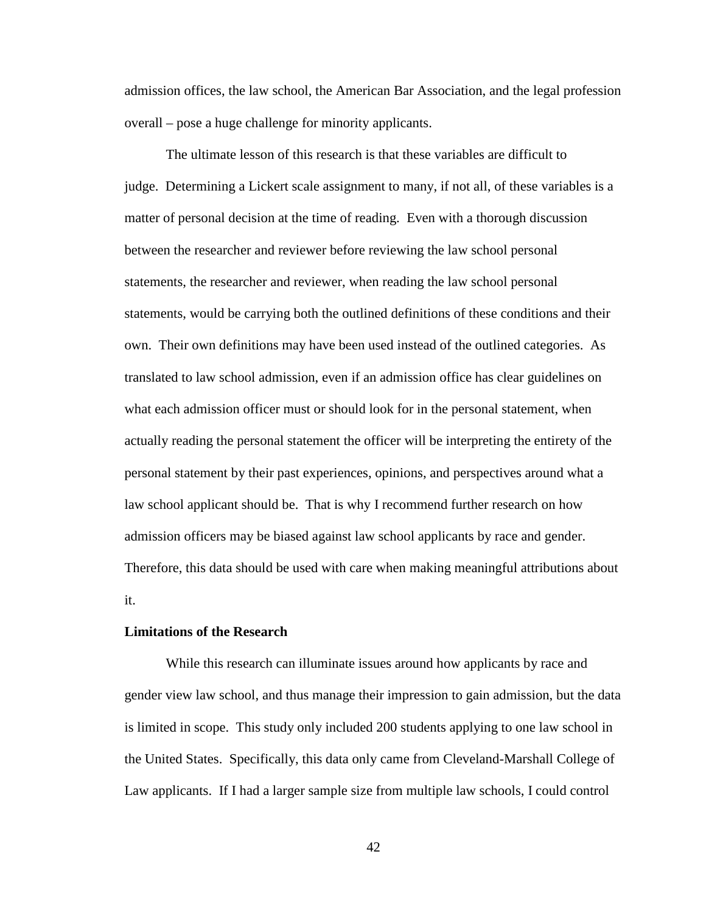admission offices, the law school, the American Bar Association, and the legal profession overall – pose a huge challenge for minority applicants.

The ultimate lesson of this research is that these variables are difficult to judge. Determining a Lickert scale assignment to many, if not all, of these variables is a matter of personal decision at the time of reading. Even with a thorough discussion between the researcher and reviewer before reviewing the law school personal statements, the researcher and reviewer, when reading the law school personal statements, would be carrying both the outlined definitions of these conditions and their own. Their own definitions may have been used instead of the outlined categories. As translated to law school admission, even if an admission office has clear guidelines on what each admission officer must or should look for in the personal statement, when actually reading the personal statement the officer will be interpreting the entirety of the personal statement by their past experiences, opinions, and perspectives around what a law school applicant should be. That is why I recommend further research on how admission officers may be biased against law school applicants by race and gender. Therefore, this data should be used with care when making meaningful attributions about it.

#### **Limitations of the Research**

While this research can illuminate issues around how applicants by race and gender view law school, and thus manage their impression to gain admission, but the data is limited in scope. This study only included 200 students applying to one law school in the United States. Specifically, this data only came from Cleveland-Marshall College of Law applicants. If I had a larger sample size from multiple law schools, I could control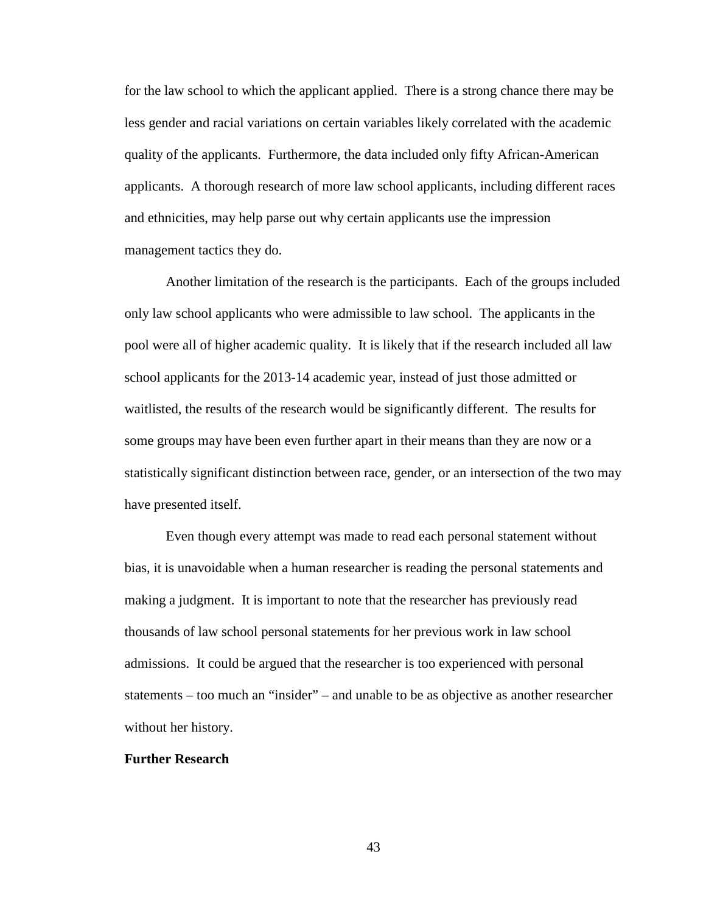for the law school to which the applicant applied. There is a strong chance there may be less gender and racial variations on certain variables likely correlated with the academic quality of the applicants. Furthermore, the data included only fifty African-American applicants. A thorough research of more law school applicants, including different races and ethnicities, may help parse out why certain applicants use the impression management tactics they do.

Another limitation of the research is the participants. Each of the groups included only law school applicants who were admissible to law school. The applicants in the pool were all of higher academic quality. It is likely that if the research included all law school applicants for the 2013-14 academic year, instead of just those admitted or waitlisted, the results of the research would be significantly different. The results for some groups may have been even further apart in their means than they are now or a statistically significant distinction between race, gender, or an intersection of the two may have presented itself.

Even though every attempt was made to read each personal statement without bias, it is unavoidable when a human researcher is reading the personal statements and making a judgment. It is important to note that the researcher has previously read thousands of law school personal statements for her previous work in law school admissions. It could be argued that the researcher is too experienced with personal statements – too much an "insider" – and unable to be as objective as another researcher without her history.

#### **Further Research**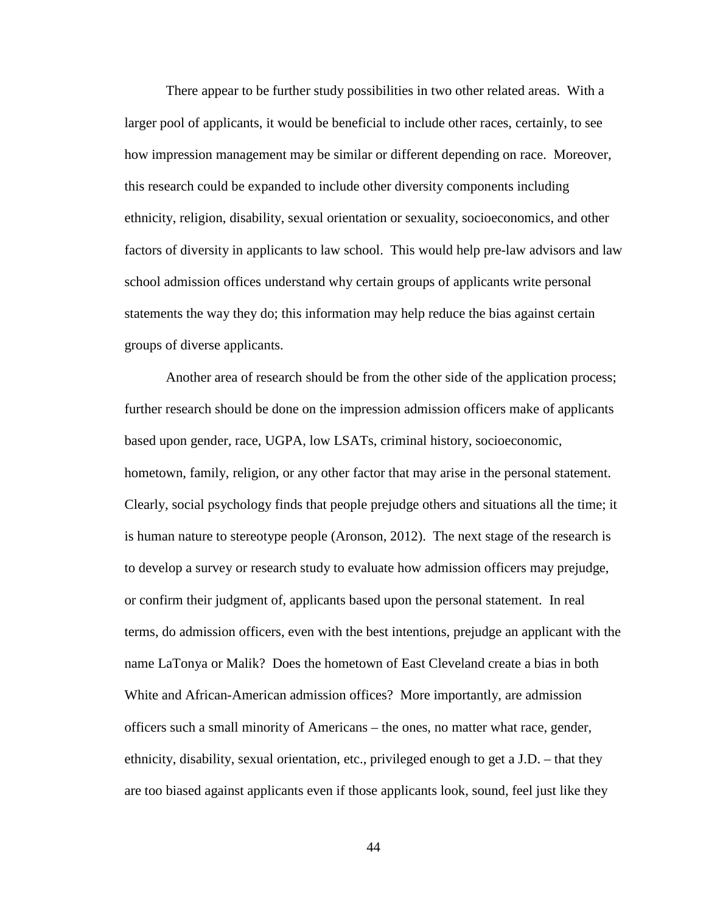There appear to be further study possibilities in two other related areas. With a larger pool of applicants, it would be beneficial to include other races, certainly, to see how impression management may be similar or different depending on race. Moreover, this research could be expanded to include other diversity components including ethnicity, religion, disability, sexual orientation or sexuality, socioeconomics, and other factors of diversity in applicants to law school. This would help pre-law advisors and law school admission offices understand why certain groups of applicants write personal statements the way they do; this information may help reduce the bias against certain groups of diverse applicants.

Another area of research should be from the other side of the application process; further research should be done on the impression admission officers make of applicants based upon gender, race, UGPA, low LSATs, criminal history, socioeconomic, hometown, family, religion, or any other factor that may arise in the personal statement. Clearly, social psychology finds that people prejudge others and situations all the time; it is human nature to stereotype people (Aronson, 2012). The next stage of the research is to develop a survey or research study to evaluate how admission officers may prejudge, or confirm their judgment of, applicants based upon the personal statement. In real terms, do admission officers, even with the best intentions, prejudge an applicant with the name LaTonya or Malik? Does the hometown of East Cleveland create a bias in both White and African-American admission offices? More importantly, are admission officers such a small minority of Americans – the ones, no matter what race, gender, ethnicity, disability, sexual orientation, etc., privileged enough to get a J.D. – that they are too biased against applicants even if those applicants look, sound, feel just like they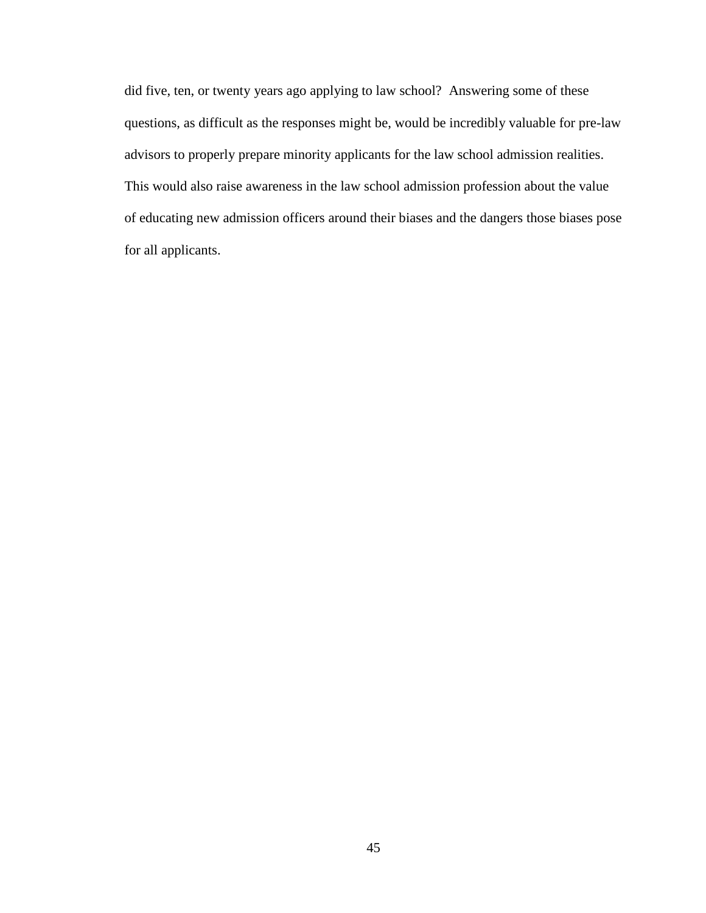did five, ten, or twenty years ago applying to law school? Answering some of these questions, as difficult as the responses might be, would be incredibly valuable for pre-law advisors to properly prepare minority applicants for the law school admission realities. This would also raise awareness in the law school admission profession about the value of educating new admission officers around their biases and the dangers those biases pose for all applicants.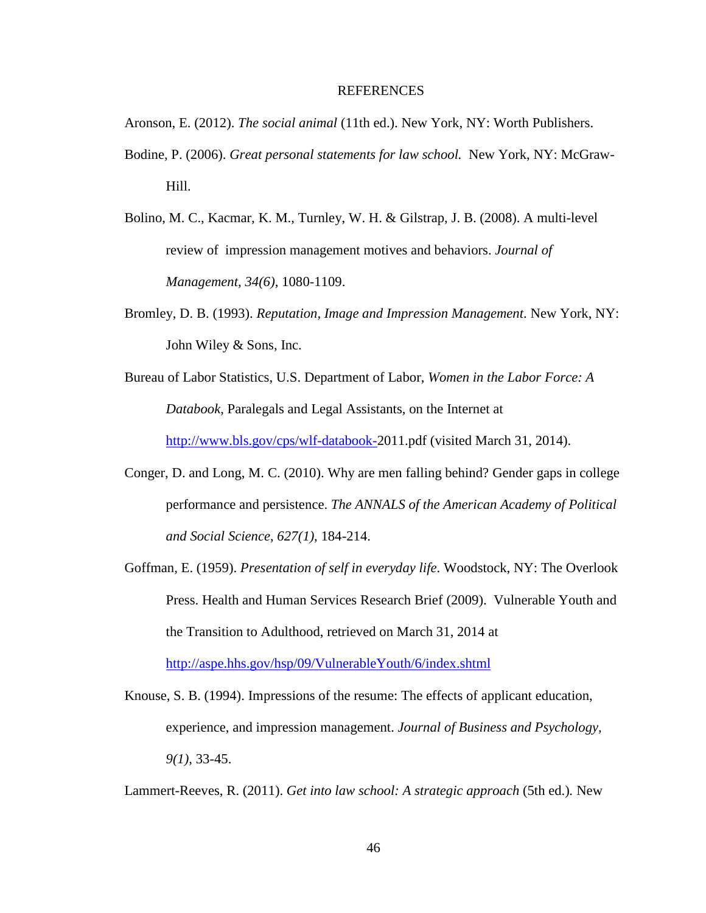#### REFERENCES

Aronson, E. (2012). *The social animal* (11th ed.). New York, NY: Worth Publishers.

- Bodine, P. (2006). *Great personal statements for law school.* New York, NY: McGraw-Hill.
- Bolino, M. C., Kacmar, K. M., Turnley, W. H. & Gilstrap, J. B. (2008). A multi-level review of impression management motives and behaviors. *Journal of Management, 34(6)*, 1080-1109.
- Bromley, D. B. (1993). *Reputation, Image and Impression Management*. New York, NY: John Wiley & Sons, Inc.
- Bureau of Labor Statistics, U.S. Department of Labor, *Women in the Labor Force: A Databook*, Paralegals and Legal Assistants, on the Internet at [http://www.bls.gov/cps/wlf-databook-2](http://www.bls.gov/cps/wlf-databook-)011.pdf (visited March 31, 2014).
- Conger, D. and Long, M. C. (2010). Why are men falling behind? Gender gaps in college performance and persistence. *[The ANNALS of the American Academy of Political](http://journals.ohiolink.edu/ejc/journal.cgi?issn=00027162)  [and Social Science](http://journals.ohiolink.edu/ejc/journal.cgi?issn=00027162)*, *[627\(1\)](http://journals.ohiolink.edu/ejc/issue.cgi?issn=00027162&issue=v627i0001)*, 184-214.
- Goffman, E. (1959). *Presentation of self in everyday life*. Woodstock, NY: The Overlook Press. Health and Human Services Research Brief (2009). Vulnerable Youth and the Transition to Adulthood, retrieved on March 31, 2014 at <http://aspe.hhs.gov/hsp/09/VulnerableYouth/6/index.shtml>

Knouse, S. B. (1994). Impressions of the resume: The effects of applicant education, experience, and impression management. *Journal of Business and Psychology, 9(1)*, 33-45.

Lammert-Reeves, R. (2011). *Get into law school: A strategic approach* (5th ed.)*.* New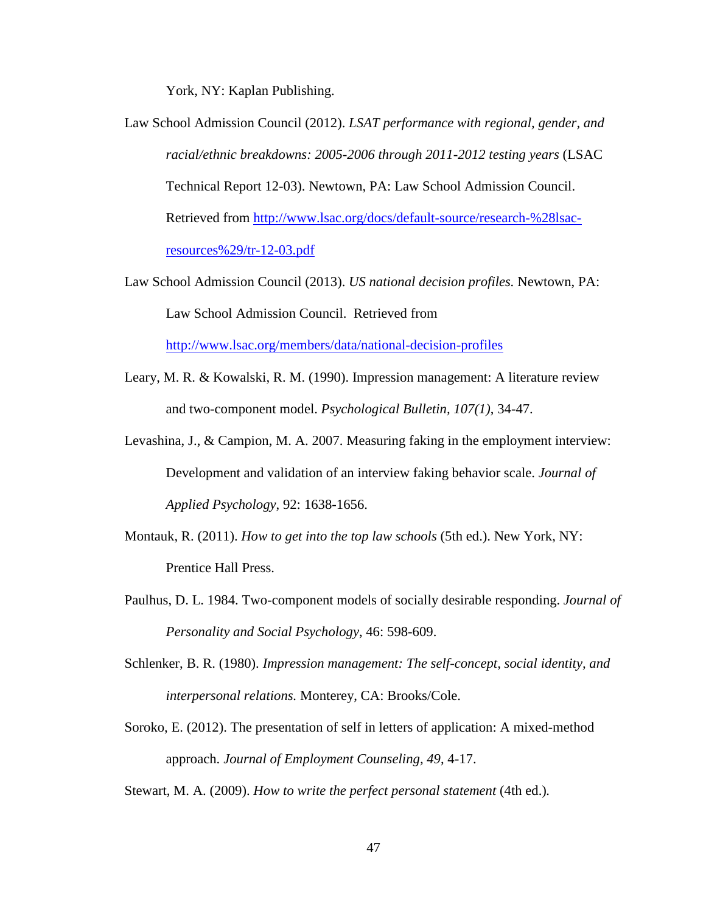York, NY: Kaplan Publishing.

- Law School Admission Council (2012). *LSAT performance with regional, gender, and racial/ethnic breakdowns: 2005-2006 through 2011-2012 testing years* (LSAC Technical Report 12-03). Newtown, PA: Law School Admission Council. Retrieved from [http://www.lsac.org/docs/default-source/research-%28lsac](http://www.lsac.org/docs/default-source/research-%28lsac-resources%29/tr-12-03.pdf)[resources%29/tr-12-03.pdf](http://www.lsac.org/docs/default-source/research-%28lsac-resources%29/tr-12-03.pdf)
- Law School Admission Council (2013). *US national decision profiles.* Newtown, PA: Law School Admission Council. Retrieved from <http://www.lsac.org/members/data/national-decision-profiles>
- Leary, M. R. & Kowalski, R. M. (1990). Impression management: A literature review and two-component model. *Psychological Bulletin, 107(1)*, 34-47.
- Levashina, J., & Campion, M. A. 2007. Measuring faking in the employment interview: Development and validation of an interview faking behavior scale. *Journal of Applied Psychology*, 92: 1638-1656.
- Montauk, R. (2011). *How to get into the top law schools* (5th ed.). New York, NY: Prentice Hall Press.
- Paulhus, D. L. 1984. Two-component models of socially desirable responding. *Journal of Personality and Social Psychology*, 46: 598-609.
- Schlenker, B. R. (1980). *Impression management: The self-concept, social identity, and interpersonal relations.* Monterey, CA: Brooks/Cole.
- Soroko, E. (2012). The presentation of self in letters of application: A mixed-method approach. *Journal of Employment Counseling, 49*, 4-17.

Stewart, M. A. (2009). *How to write the perfect personal statement* (4th ed.)*.*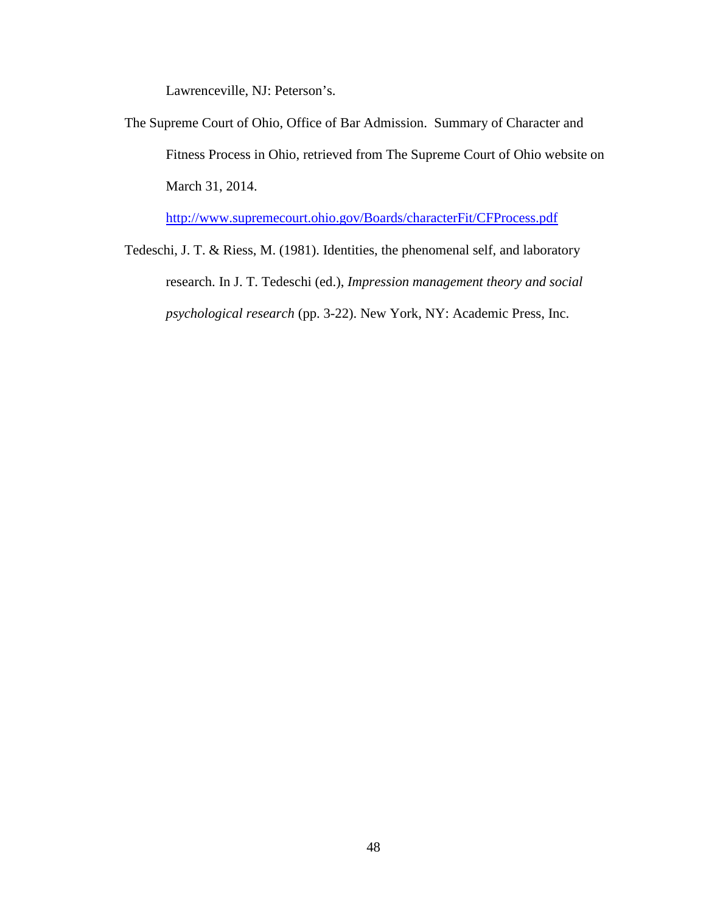Lawrenceville, NJ: Peterson's.

The Supreme Court of Ohio, Office of Bar Admission. Summary of Character and Fitness Process in Ohio, retrieved from The Supreme Court of Ohio website on March 31, 2014.

<http://www.supremecourt.ohio.gov/Boards/characterFit/CFProcess.pdf>

Tedeschi, J. T. & Riess, M. (1981). Identities, the phenomenal self, and laboratory research. In J. T. Tedeschi (ed.), *Impression management theory and social psychological research* (pp. 3-22). New York, NY: Academic Press, Inc.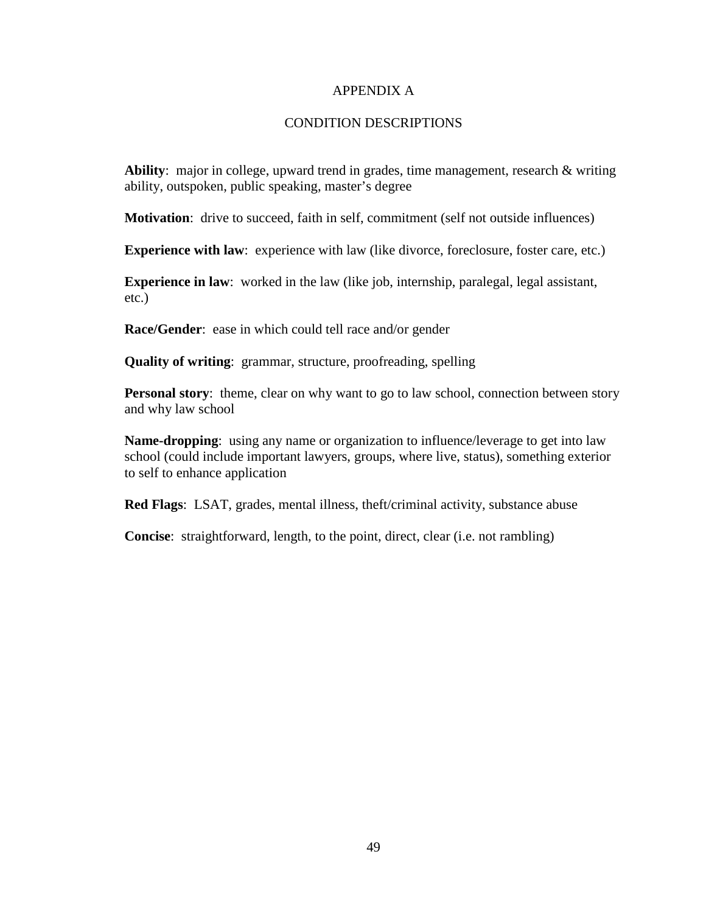## APPENDIX A

## CONDITION DESCRIPTIONS

**Ability:** major in college, upward trend in grades, time management, research & writing ability, outspoken, public speaking, master's degree

**Motivation**: drive to succeed, faith in self, commitment (self not outside influences)

**Experience with law**: experience with law (like divorce, foreclosure, foster care, etc.)

**Experience in law**: worked in the law (like job, internship, paralegal, legal assistant, etc.)

**Race/Gender**: ease in which could tell race and/or gender

**Quality of writing**: grammar, structure, proofreading, spelling

**Personal story**: theme, clear on why want to go to law school, connection between story and why law school

**Name-dropping**: using any name or organization to influence/leverage to get into law school (could include important lawyers, groups, where live, status), something exterior to self to enhance application

**Red Flags**: LSAT, grades, mental illness, theft/criminal activity, substance abuse

**Concise**: straightforward, length, to the point, direct, clear (i.e. not rambling)